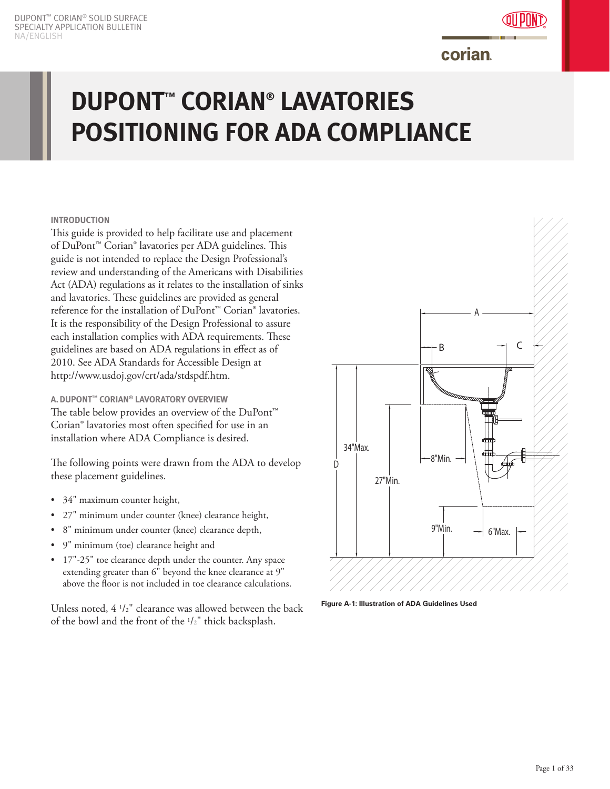

#### **INTRODUCTION**

This guide is provided to help facilitate use and placement of DuPont™ Corian® lavatories per ADA guidelines. This guide is not intended to replace the Design Professional's review and understanding of the Americans with Disabilities Act (ADA) regulations as it relates to the installation of sinks and lavatories. These guidelines are provided as general reference for the installation of DuPont™ Corian® lavatories. It is the responsibility of the Design Professional to assure each installation complies with ADA requirements. These guidelines are based on ADA regulations in effect as of 2010. See ADA Standards for Accessible Design at http://www.usdoj.gov/crt/ada/stdspdf.htm.

#### **A. DUPONT™ CORIAN® LAVORATORY OVERVIEW**

The table below provides an overview of the DuPont™ Corian® lavatories most often specified for use in an installation where ADA Compliance is desired.

The following points were drawn from the ADA to develop these placement guidelines.

- 34" maximum counter height,
- 27" minimum under counter (knee) clearance height,
- 8" minimum under counter (knee) clearance depth,
- 9" minimum (toe) clearance height and
- 17"-25" toe clearance depth under the counter. Any space extending greater than 6" beyond the knee clearance at 9" above the floor is not included in toe clearance calculations.

Unless noted, 4 <sup>1</sup> /2" clearance was allowed between the back of the bowl and the front of the <sup>1</sup> /2" thick backsplash.



**Figure A-1: Illustration of ADA Guidelines Used**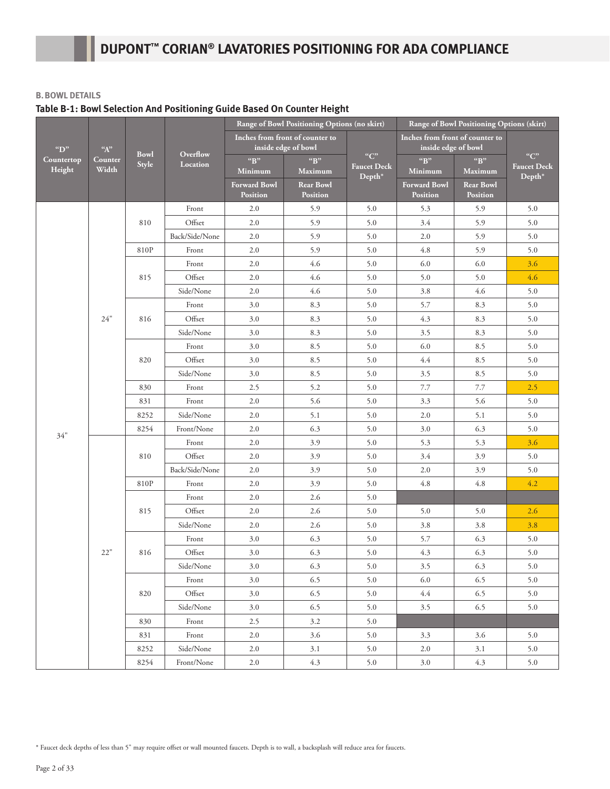#### **B. BOWL DETAILS**

#### **Table B-1: Bowl Selection And Positioning Guide Based On Counter Height**

|                      |                  |                      |                             |                                 | Range of Bowl Positioning Options (no skirt)           |                                   |                                                        | Range of Bowl Positioning Options (skirt) |                                   |
|----------------------|------------------|----------------------|-----------------------------|---------------------------------|--------------------------------------------------------|-----------------------------------|--------------------------------------------------------|-------------------------------------------|-----------------------------------|
| "D"                  | $A$ "            |                      | Overflow<br><b>Location</b> |                                 | Inches from front of counter to<br>inside edge of bowl |                                   | Inches from front of counter to<br>inside edge of bowl |                                           |                                   |
| Countertop<br>Height | Counter<br>Width | <b>Bowl</b><br>Style |                             | "B"<br>Minimum                  | "B"<br><b>Maximum</b>                                  | C<br><b>Faucet Deck</b><br>Depth* | ``B"<br>Minimum                                        | "B"<br>Maximum                            | C<br><b>Faucet Deck</b><br>Depth* |
|                      |                  |                      |                             | <b>Forward Bowl</b><br>Position | <b>Rear Bowl</b><br>Position                           |                                   | <b>Forward Bowl</b><br>Position                        | <b>Rear Bowl</b><br>Position              |                                   |
|                      |                  |                      | Front                       | 2.0                             | 5.9                                                    | 5.0                               | 5.3                                                    | 5.9                                       | 5.0                               |
|                      |                  | 810                  | Offset                      | 2.0                             | 5.9                                                    | 5.0                               | 3.4                                                    | 5.9                                       | 5.0                               |
|                      |                  |                      | Back/Side/None              | 2.0                             | 5.9                                                    | 5.0                               | 2.0                                                    | 5.9                                       | 5.0                               |
|                      |                  | 810P                 | Front                       | 2.0                             | 5.9                                                    | 5.0                               | 4.8                                                    | 5.9                                       | 5.0                               |
|                      |                  |                      | Front                       | 2.0                             | 4.6                                                    | 5.0                               | 6.0                                                    | 6.0                                       | 3.6                               |
|                      |                  | 815                  | Offset                      | 2.0                             | 4.6                                                    | 5.0                               | 5.0                                                    | 5.0                                       | 4.6                               |
|                      |                  |                      | Side/None                   | 2.0                             | 4.6                                                    | 5.0                               | 3.8                                                    | 4.6                                       | 5.0                               |
|                      |                  |                      | Front                       | 3.0                             | 8.3                                                    | 5.0                               | 5.7                                                    | 8.3                                       | 5.0                               |
|                      | 24"              | 816                  | Offset                      | 3.0                             | 8.3                                                    | 5.0                               | 4.3                                                    | 8.3                                       | 5.0                               |
|                      |                  |                      | Side/None                   | 3.0                             | 8.3                                                    | 5.0                               | 3.5                                                    | 8.3                                       | 5.0                               |
|                      |                  |                      | Front                       | 3.0                             | 8.5                                                    | 5.0                               | 6.0                                                    | 8.5                                       | 5.0                               |
|                      |                  | 820                  | Offset                      | 3.0                             | 8.5                                                    | 5.0                               | 4.4                                                    | 8.5                                       | 5.0                               |
|                      |                  |                      | Side/None                   | 3.0                             | 8.5                                                    | 5.0                               | 3.5                                                    | 8.5                                       | 5.0                               |
|                      |                  | 830                  | Front                       | 2.5                             | 5.2                                                    | 5.0                               | 7.7                                                    | 7.7                                       | 2.5                               |
|                      |                  | 831                  | Front                       | 2.0                             | 5.6                                                    | 5.0                               | 3.3                                                    | 5.6                                       | 5.0                               |
|                      |                  | 8252                 | Side/None                   | 2.0                             | 5.1                                                    | 5.0                               | 2.0                                                    | 5.1                                       | 5.0                               |
| 34"                  |                  | 8254                 | Front/None                  | 2.0                             | 6.3                                                    | 5.0                               | 3.0                                                    | 6.3                                       | 5.0                               |
|                      |                  | 810                  | Front                       | 2.0                             | 3.9                                                    | 5.0                               | 5.3                                                    | 5.3                                       | 3.6                               |
|                      |                  |                      | Offset                      | 2.0                             | 3.9                                                    | 5.0                               | 3.4                                                    | 3.9                                       | 5.0                               |
|                      |                  |                      | Back/Side/None              | 2.0                             | 3.9                                                    | 5.0                               | 2.0                                                    | 3.9                                       | 5.0                               |
|                      |                  | 810P                 | Front                       | 2.0                             | 3.9                                                    | 5.0                               | 4.8                                                    | 4.8                                       | 4.2                               |
|                      |                  |                      | Front                       | 2.0                             | 2.6                                                    | 5.0                               |                                                        |                                           |                                   |
|                      |                  | 815                  | Offset                      | 2.0                             | 2.6                                                    | 5.0                               | 5.0                                                    | 5.0                                       | 2.6                               |
|                      |                  |                      | Side/None                   | 2.0                             | 2.6                                                    | 5.0                               | 3.8                                                    | 3.8                                       | 3.8                               |
|                      |                  |                      | Front                       | 3.0                             | 6.3                                                    | 5.0                               | 5.7                                                    | 6.3                                       | 5.0                               |
|                      | 22"              | 816                  | Offset                      | 3.0                             | 6.3                                                    | 5.0                               | 4.3                                                    | 6.3                                       | 5.0                               |
|                      |                  |                      | Side/None                   | 3.0                             | 6.3                                                    | 5.0                               | 3.5                                                    | 6.3                                       | 5.0                               |
|                      |                  |                      | Front                       | 3.0                             | 6.5                                                    | 5.0                               | 6.0                                                    | 6.5                                       | 5.0                               |
|                      |                  | 820                  | Offset                      | 3.0                             | 6.5                                                    | 5.0                               | 4.4                                                    | 6.5                                       | 5.0                               |
|                      |                  |                      | Side/None                   | 3.0                             | 6.5                                                    | 5.0                               | 3.5                                                    | 6.5                                       | 5.0                               |
|                      |                  | 830                  | Front                       | 2.5                             | 3.2                                                    | 5.0                               |                                                        |                                           |                                   |
|                      |                  | 831                  | Front                       | 2.0                             | 3.6                                                    | 5.0                               | 3.3                                                    | 3.6                                       | 5.0                               |
|                      |                  | 8252                 | Side/None                   | 2.0                             | 3.1                                                    | 5.0                               | 2.0                                                    | 3.1                                       | 5.0                               |
|                      |                  | 8254                 | Front/None                  | 2.0                             | 4.3                                                    | 5.0                               | 3.0                                                    | 4.3                                       | 5.0                               |

\* Faucet deck depths of less than 5" may require offset or wall mounted faucets. Depth is to wall, a backsplash will reduce area for faucets.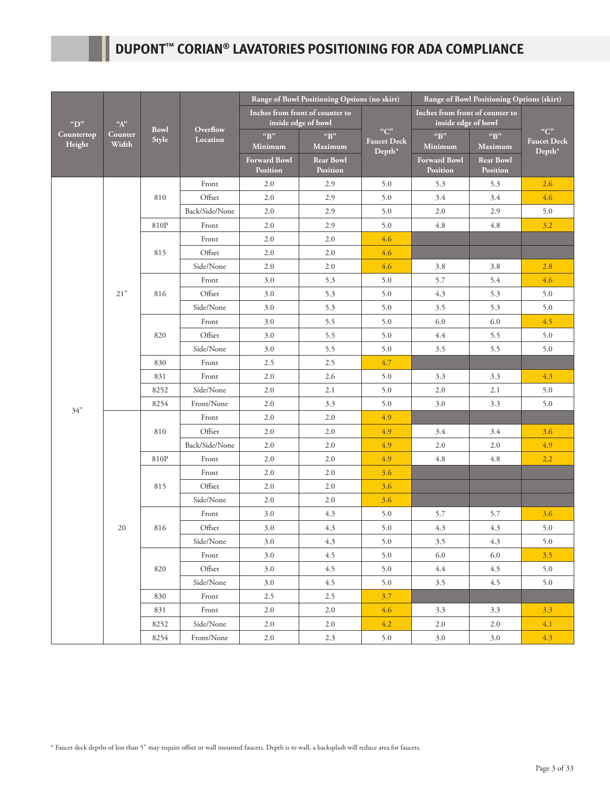|                      |                               |                      |                      | Range of Bowl Positioning Options (no skirt) |                                                        |                                       | Range of Bowl Positioning Options (skirt)              |                              |                                       |
|----------------------|-------------------------------|----------------------|----------------------|----------------------------------------------|--------------------------------------------------------|---------------------------------------|--------------------------------------------------------|------------------------------|---------------------------------------|
| "D"                  | ${}^{\alpha}A^{\prime\prime}$ | <b>Bowl</b><br>Style | Overflow<br>Location |                                              | Inches from front of counter to<br>inside edge of bowl |                                       | Inches from front of counter to<br>inside edge of bowl |                              |                                       |
| Countertop<br>Height | Counter<br>Width              |                      |                      | ``B"<br>Minimum                              | "B"<br><b>Maximum</b>                                  | $C$ "<br><b>Faucet Deck</b><br>Depth* | ${}^{\alpha}B"$<br>Minimum                             | "B"<br><b>Maximum</b>        | $C$ "<br><b>Faucet Deck</b><br>Depth* |
|                      |                               |                      |                      | <b>Forward Bowl</b><br>Position              | <b>Rear Bowl</b><br><b>Position</b>                    |                                       | <b>Forward Bowl</b><br>Position                        | <b>Rear Bowl</b><br>Position |                                       |
|                      |                               |                      | Front                | 2.0                                          | 2.9                                                    | 5.0                                   | 5.3                                                    | 5.3                          | 2.6                                   |
|                      |                               | 810                  | Offset               | 2.0                                          | 2.9                                                    | 5.0                                   | 3.4                                                    | 3.4                          | 4.6                                   |
|                      |                               |                      | Back/Side/None       | 2.0                                          | 2.9                                                    | 5.0                                   | 2.0                                                    | 2.9                          | 5.0                                   |
|                      |                               | 810P                 | Front                | 2.0                                          | 2.9                                                    | 5.0                                   | 4.8                                                    | 4.8                          | 3.2                                   |
|                      |                               |                      | Front                | 2.0                                          | 2.0                                                    | 4.6                                   |                                                        |                              |                                       |
|                      |                               | 815                  | Offset               | 2.0                                          | 2.0                                                    | 4.6                                   |                                                        |                              |                                       |
|                      |                               |                      | Side/None            | 2.0                                          | 2.0                                                    | 4.6                                   | 3.8                                                    | 3.8                          | 2.8                                   |
|                      |                               |                      | Front                | 3.0                                          | 5.3                                                    | 5.0                                   | 5.7                                                    | 5.4                          | 4.6                                   |
|                      | 21"                           | 816                  | Offset               | 3.0                                          | 5.3                                                    | 5.0                                   | 4.3                                                    | 5.3                          | 5.0                                   |
|                      |                               |                      | Side/None            | 3.0                                          | 5.3                                                    | 5.0                                   | 3.5                                                    | 5.3                          | 5.0                                   |
|                      |                               |                      | Front                | 3.0                                          | 5.5                                                    | 5.0                                   | 6.0                                                    | 6.0                          | 4.5                                   |
|                      |                               | 820                  | Offset               | 3.0                                          | 5.5                                                    | 5.0                                   | 4.4                                                    | 5.5                          | 5.0                                   |
|                      |                               |                      | Side/None            | 3.0                                          | 5.5                                                    | 5.0                                   | 3.5                                                    | 5.5                          | 5.0                                   |
|                      |                               | 830                  | Front                | 2.5                                          | 2.5                                                    | 4.7                                   |                                                        |                              |                                       |
|                      |                               | 831                  | Front                | 2.0                                          | 2.6                                                    | 5.0                                   | 3.3                                                    | 3.3                          | 4.3                                   |
|                      |                               | 8252                 | Side/None            | 2.0                                          | 2.1                                                    | 5.0                                   | 2.0                                                    | 2.1                          | 5.0                                   |
|                      |                               | 8254                 | Front/None           | 2.0                                          | 3.3                                                    | 5.0                                   | 3.0                                                    | 3.3                          | 5.0                                   |
| 34"                  |                               | 810                  | Front                | 2.0                                          | 2.0                                                    | 4.9                                   |                                                        |                              |                                       |
|                      |                               |                      | Offset               | 2.0                                          | 2.0                                                    | 4.9                                   | 3.4                                                    | 3.4                          | 3.6                                   |
|                      |                               |                      | Back/Side/None       | 2.0                                          | 2.0                                                    | 4.9                                   | 2.0                                                    | 2.0                          | 4.9                                   |
|                      |                               | 810P                 | Front                | 2.0                                          | 2.0                                                    | 4.9                                   | 4.8                                                    | 4.8                          | 2.2                                   |
|                      |                               |                      | Front                | 2.0                                          | 2.0                                                    | 3.6                                   |                                                        |                              |                                       |
|                      |                               | 815                  | Offset               | 2.0                                          | 2.0                                                    | 3.6                                   |                                                        |                              |                                       |
|                      |                               |                      | Side/None            | 2.0                                          | 2.0                                                    | 3.6                                   |                                                        |                              |                                       |
|                      |                               |                      | Front                | 3.0                                          | 4.3                                                    | 5.0                                   | 5.7                                                    | 5.7                          | 3.6                                   |
|                      | 20                            | 816                  | Offset               | 3.0                                          | 4.3                                                    | 5.0                                   | 4.3                                                    | 4.3                          | 5.0                                   |
|                      |                               |                      | Side/None            | 3.0                                          | 4.3                                                    | 5.0                                   | 3.5                                                    | 4.3                          | 5.0                                   |
|                      |                               |                      | Front                | 3.0                                          | 4.5                                                    | 5.0                                   | 6.0                                                    | 6.0                          | 3.5                                   |
|                      |                               | 820                  | Offset               | 3.0                                          | 4.5                                                    | 5.0                                   | 4.4                                                    | 4.5                          | 5.0                                   |
|                      |                               |                      | Side/None            | 3.0                                          | 4.5                                                    | 5.0                                   | 3.5                                                    | 4.5                          | 5.0                                   |
|                      |                               | 830                  | Front                | 2.5                                          | 2.5                                                    | 3.7                                   |                                                        |                              |                                       |
|                      |                               | 831                  | Front                | 2.0                                          | 2.0                                                    | 4.6                                   | 3.3                                                    | 3.3                          | 3.3                                   |
|                      |                               | 8252                 | Side/None            | 2.0                                          | 2.0                                                    | 4.2                                   | 2.0                                                    | 2.0                          | 4.1                                   |
|                      |                               | 8254                 | Front/None           | $2.0\,$                                      | 2.3                                                    | 5.0                                   | $3.0\,$                                                | 3.0                          | 4.3                                   |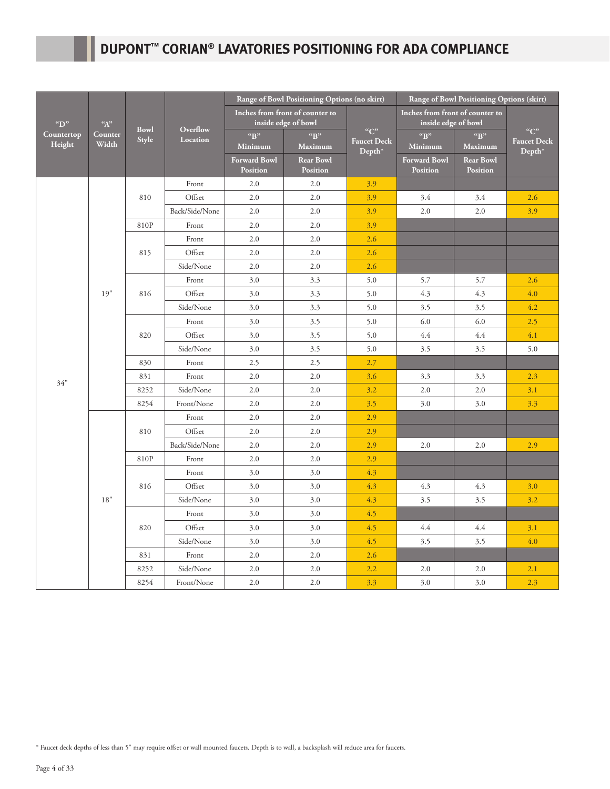|                      |                      |                      |                 | Range of Bowl Positioning Options (no skirt) |                                                        |                                       | Range of Bowl Positioning Options (skirt)              |                                     |                                          |
|----------------------|----------------------|----------------------|-----------------|----------------------------------------------|--------------------------------------------------------|---------------------------------------|--------------------------------------------------------|-------------------------------------|------------------------------------------|
| $\mathrm{``D''}$     | $\lq\lq\lq\lq\lq\lq$ |                      | Overflow        |                                              | Inches from front of counter to<br>inside edge of bowl |                                       | Inches from front of counter to<br>inside edge of bowl |                                     |                                          |
| Countertop<br>Height | Counter<br>Width     | <b>Bowl</b><br>Style | <b>Location</b> | "B"<br>Minimum                               | "B"<br><b>Maximum</b>                                  | $C$ "<br><b>Faucet Deck</b><br>Depth* | "R"<br>Minimum                                         | "B"<br><b>Maximum</b>               | $C$ "<br><b>Faucet Deck</b><br>$Depth^*$ |
|                      |                      |                      |                 | <b>Forward Bowl</b><br>Position              | <b>Rear Bowl</b><br>Position                           |                                       | <b>Forward Bowl</b><br><b>Position</b>                 | <b>Rear Bowl</b><br><b>Position</b> |                                          |
|                      |                      |                      | Front           | 2.0                                          | 2.0                                                    | 3.9                                   |                                                        |                                     |                                          |
|                      |                      | 810                  | Offset          | 2.0                                          | 2.0                                                    | 3.9                                   | 3.4                                                    | 3.4                                 | 2.6                                      |
|                      |                      |                      | Back/Side/None  | 2.0                                          | 2.0                                                    | 3.9                                   | 2.0                                                    | 2.0                                 | 3.9                                      |
|                      |                      | 810P                 | Front           | 2.0                                          | 2.0                                                    | 3.9                                   |                                                        |                                     |                                          |
|                      |                      |                      | Front           | 2.0                                          | 2.0                                                    | 2.6                                   |                                                        |                                     |                                          |
|                      |                      | 815                  | Offset          | 2.0                                          | 2.0                                                    | 2.6                                   |                                                        |                                     |                                          |
|                      |                      |                      | Side/None       | 2.0                                          | 2.0                                                    | 2.6                                   |                                                        |                                     |                                          |
|                      |                      |                      | Front           | 3.0                                          | 3.3                                                    | 5.0                                   | 5.7                                                    | 5.7                                 | 2.6                                      |
|                      | 19"                  | 816                  | Offset          | 3.0                                          | 3.3                                                    | 5.0                                   | 4.3                                                    | 4.3                                 | 4.0                                      |
|                      |                      |                      | Side/None       | 3.0                                          | 3.3                                                    | 5.0                                   | 3.5                                                    | 3.5                                 | 4.2                                      |
|                      |                      |                      | Front           | 3.0                                          | 3.5                                                    | 5.0                                   | 6.0                                                    | $6.0\,$                             | 2.5                                      |
|                      |                      | 820                  | Offset          | 3.0                                          | 3.5                                                    | 5.0                                   | 4.4                                                    | 4.4                                 | 4.1                                      |
|                      |                      |                      | Side/None       | 3.0                                          | 3.5                                                    | 5.0                                   | 3.5                                                    | 3.5                                 | 5.0                                      |
|                      |                      | 830                  | Front           | 2.5                                          | 2.5                                                    | 2.7                                   |                                                        |                                     |                                          |
| 34"                  |                      | 831                  | Front           | 2.0                                          | 2.0                                                    | 3.6                                   | 3.3                                                    | 3.3                                 | 2.3                                      |
|                      |                      | 8252                 | Side/None       | 2.0                                          | 2.0                                                    | 3.2                                   | 2.0                                                    | 2.0                                 | 3.1                                      |
|                      |                      | 8254                 | Front/None      | 2.0                                          | 2.0                                                    | 3.5                                   | 3.0                                                    | 3.0                                 | 3.3                                      |
|                      |                      |                      | Front           | 2.0                                          | 2.0                                                    | 2.9                                   |                                                        |                                     |                                          |
|                      |                      | 810                  | Offset          | 2.0                                          | 2.0                                                    | 2.9                                   |                                                        |                                     |                                          |
|                      |                      |                      | Back/Side/None  | 2.0                                          | 2.0                                                    | 2.9                                   | 2.0                                                    | 2.0                                 | 2.9                                      |
|                      |                      | 810P                 | Front           | 2.0                                          | 2.0                                                    | 2.9                                   |                                                        |                                     |                                          |
|                      |                      |                      | Front           | 3.0                                          | 3.0                                                    | 4.3                                   |                                                        |                                     |                                          |
|                      |                      | 816                  | Offset          | 3.0                                          | 3.0                                                    | 4.3                                   | 4.3                                                    | 4.3                                 | 3.0                                      |
|                      | $18\ensuremath{''}$  |                      | Side/None       | 3.0                                          | 3.0                                                    | 4.3                                   | 3.5                                                    | 3.5                                 | 3.2                                      |
|                      |                      |                      | Front           | 3.0                                          | 3.0                                                    | 4.5                                   |                                                        |                                     |                                          |
|                      |                      | 820                  | Offset          | 3.0                                          | 3.0                                                    | 4.5                                   | 4.4                                                    | 4.4                                 | 3.1                                      |
|                      |                      |                      | Side/None       | 3.0                                          | 3.0                                                    | 4.5                                   | 3.5                                                    | 3.5                                 | 4.0                                      |
|                      |                      | 831                  | Front           | 2.0                                          | 2.0                                                    | 2.6                                   |                                                        |                                     |                                          |
|                      |                      | 8252                 | Side/None       | 2.0                                          | 2.0                                                    | 2.2                                   | 2.0                                                    | 2.0                                 | 2.1                                      |
|                      |                      | 8254                 | Front/None      | 2.0                                          | 2.0                                                    | 3.3                                   | 3.0                                                    | 3.0                                 | 2.3                                      |

\* Faucet deck depths of less than 5" may require offset or wall mounted faucets. Depth is to wall, a backsplash will reduce area for faucets.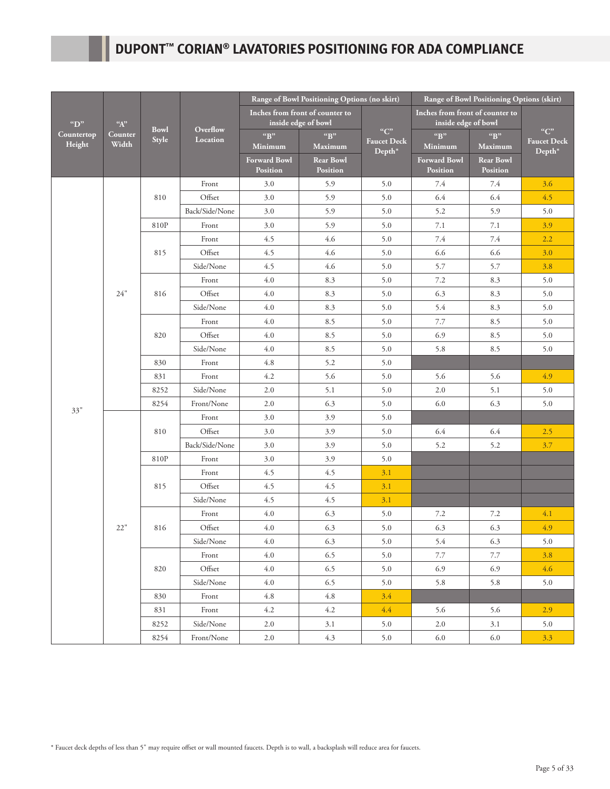|                      |                      |                      |                             | Range of Bowl Positioning Options (no skirt) |                                                        |                                                     | Range of Bowl Positioning Options (skirt)              |                              |                                       |
|----------------------|----------------------|----------------------|-----------------------------|----------------------------------------------|--------------------------------------------------------|-----------------------------------------------------|--------------------------------------------------------|------------------------------|---------------------------------------|
| "D"                  | $\lq\lq\lq\lq\lq\lq$ | <b>Bowl</b><br>Style | Overflow<br><b>Location</b> |                                              | Inches from front of counter to<br>inside edge of bowl |                                                     | Inches from front of counter to<br>inside edge of bowl |                              |                                       |
| Countertop<br>Height | Counter<br>Width     |                      |                             | "B"<br>Minimum                               | "B"<br><b>Maximum</b>                                  | $^{\mathrm{``C''}}$<br><b>Faucet Deck</b><br>Depth* | "R"<br>Minimum                                         | "B"<br>Maximum               | $C$ "<br><b>Faucet Deck</b><br>Depth* |
|                      |                      |                      |                             | <b>Forward Bowl</b><br><b>Position</b>       | <b>Rear Bowl</b><br><b>Position</b>                    |                                                     | <b>Forward Bowl</b><br><b>Position</b>                 | <b>Rear Bowl</b><br>Position |                                       |
|                      |                      |                      | Front                       | 3.0                                          | 5.9                                                    | 5.0                                                 | 7.4                                                    | 7.4                          | 3.6                                   |
|                      |                      | 810                  | Offset                      | 3.0                                          | 5.9                                                    | 5.0                                                 | 6.4                                                    | 6.4                          | 4.5                                   |
|                      |                      |                      | Back/Side/None              | 3.0                                          | 5.9                                                    | 5.0                                                 | 5.2                                                    | 5.9                          | 5.0                                   |
|                      |                      | 810P                 | Front                       | 3.0                                          | 5.9                                                    | 5.0                                                 | 7.1                                                    | 7.1                          | 3.9                                   |
|                      |                      |                      | Front                       | 4.5                                          | 4.6                                                    | 5.0                                                 | 7.4                                                    | 7.4                          | 2.2                                   |
|                      |                      | 815                  | Offset                      | 4.5                                          | 4.6                                                    | 5.0                                                 | 6.6                                                    | 6.6                          | 3.0                                   |
|                      |                      |                      | Side/None                   | 4.5                                          | 4.6                                                    | 5.0                                                 | 5.7                                                    | 5.7                          | 3.8                                   |
|                      |                      |                      | Front                       | 4.0                                          | 8.3                                                    | 5.0                                                 | 7.2                                                    | 8.3                          | 5.0                                   |
|                      | 24"                  | 816                  | Offset                      | 4.0                                          | 8.3                                                    | 5.0                                                 | 6.3                                                    | 8.3                          | 5.0                                   |
|                      |                      |                      | Side/None                   | 4.0                                          | 8.3                                                    | 5.0                                                 | 5.4                                                    | 8.3                          | 5.0                                   |
|                      |                      |                      | Front                       | 4.0                                          | 8.5                                                    | 5.0                                                 | 7.7                                                    | 8.5                          | 5.0                                   |
|                      |                      | 820                  | Offset                      | 4.0                                          | 8.5                                                    | 5.0                                                 | 6.9                                                    | 8.5                          | 5.0                                   |
|                      |                      |                      | Side/None                   | 4.0                                          | 8.5                                                    | 5.0                                                 | 5.8                                                    | 8.5                          | 5.0                                   |
|                      |                      | 830                  | Front                       | 4.8                                          | 5.2                                                    | 5.0                                                 |                                                        |                              |                                       |
|                      |                      | 831                  | Front                       | 4.2                                          | 5.6                                                    | 5.0                                                 | 5.6                                                    | 5.6                          | 4.9                                   |
|                      |                      | 8252                 | Side/None                   | 2.0                                          | 5.1                                                    | 5.0                                                 | 2.0                                                    | 5.1                          | 5.0                                   |
|                      |                      | 8254                 | Front/None                  | 2.0                                          | 6.3                                                    | 5.0                                                 | 6.0                                                    | 6.3                          | 5.0                                   |
| 33"                  |                      | 810                  | Front                       | 3.0                                          | 3.9                                                    | 5.0                                                 |                                                        |                              |                                       |
|                      |                      |                      | Offset                      | 3.0                                          | 3.9                                                    | 5.0                                                 | 6.4                                                    | 6.4                          | 2.5                                   |
|                      |                      |                      | Back/Side/None              | 3.0                                          | 3.9                                                    | 5.0                                                 | 5.2                                                    | 5.2                          | 3.7                                   |
|                      |                      | 810P                 | Front                       | 3.0                                          | 3.9                                                    | 5.0                                                 |                                                        |                              |                                       |
|                      |                      |                      | Front                       | 4.5                                          | 4.5                                                    | 3.1                                                 |                                                        |                              |                                       |
|                      |                      | 815                  | Offset                      | 4.5                                          | 4.5                                                    | 3.1                                                 |                                                        |                              |                                       |
|                      |                      |                      | Side/None                   | 4.5                                          | 4.5                                                    | 3.1                                                 |                                                        |                              |                                       |
|                      |                      |                      | Front                       | 4.0                                          | 6.3                                                    | 5.0                                                 | 7.2                                                    | 7.2                          | 4.1                                   |
|                      | 22"                  | 816                  | Offset                      | 4.0                                          | 6.3                                                    | 5.0                                                 | 6.3                                                    | 6.3                          | 4.9                                   |
|                      |                      |                      | Side/None                   | 4.0                                          | 6.3                                                    | 5.0                                                 | 5.4                                                    | 6.3                          | 5.0                                   |
|                      |                      |                      | Front                       | 4.0                                          | 6.5                                                    | 5.0                                                 | 7.7                                                    | 7.7                          | 3.8                                   |
|                      |                      | 820                  | Offset                      | $4.0\,$                                      | 6.5                                                    | 5.0                                                 | 6.9                                                    | 6.9                          | 4.6                                   |
|                      |                      |                      | Side/None                   | 4.0                                          | 6.5                                                    | 5.0                                                 | 5.8                                                    | 5.8                          | 5.0                                   |
|                      |                      | 830                  | Front                       | 4.8                                          | $4.8\,$                                                | 3.4                                                 |                                                        |                              |                                       |
|                      |                      | 831                  | Front                       | 4.2                                          | 4.2                                                    | 4.4                                                 | 5.6                                                    | 5.6                          | 2.9                                   |
|                      |                      | 8252                 | Side/None                   | 2.0                                          | 3.1                                                    | 5.0                                                 | $2.0\,$                                                | 3.1                          | 5.0                                   |
|                      |                      | 8254                 | Front/None                  | $2.0\,$                                      | 4.3                                                    | 5.0                                                 | 6.0                                                    | 6.0                          | 3.3                                   |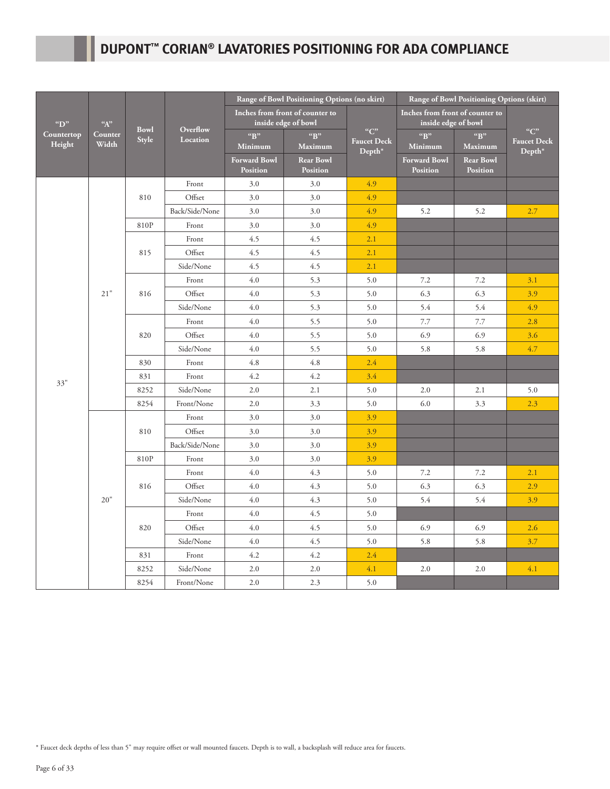|                      |                                  |                      |                      | Range of Bowl Positioning Options (no skirt) |                                                        |                                   | Range of Bowl Positioning Options (skirt)              |                                     |                                       |
|----------------------|----------------------------------|----------------------|----------------------|----------------------------------------------|--------------------------------------------------------|-----------------------------------|--------------------------------------------------------|-------------------------------------|---------------------------------------|
| $\text{``D''}$       | $\lq \mathbf{A}^{\prime \prime}$ |                      |                      |                                              | Inches from front of counter to<br>inside edge of bowl |                                   | Inches from front of counter to<br>inside edge of bowl |                                     |                                       |
| Countertop<br>Height | Counter<br>Width                 | <b>Bowl</b><br>Style | Overflow<br>Location | "B"<br>Minimum                               | $\mathbf{B}^{\prime\prime}$<br>Maximum                 | C<br><b>Faucet Deck</b><br>Depth* | ``B"<br>Minimum                                        | "B"<br>Maximum                      | $C$ "<br><b>Faucet Deck</b><br>Depth* |
|                      |                                  |                      |                      | <b>Forward Bowl</b><br>Position              | <b>Rear Bowl</b><br><b>Position</b>                    |                                   | <b>Forward Bowl</b><br><b>Position</b>                 | <b>Rear Bowl</b><br><b>Position</b> |                                       |
|                      |                                  |                      | Front                | 3.0                                          | 3.0                                                    | 4.9                               |                                                        |                                     |                                       |
|                      |                                  | 810                  | Offset               | 3.0                                          | 3.0                                                    | 4.9                               |                                                        |                                     |                                       |
|                      |                                  |                      | Back/Side/None       | 3.0                                          | 3.0                                                    | 4.9                               | 5.2                                                    | 5.2                                 | 2.7                                   |
|                      |                                  | 810P                 | Front                | 3.0                                          | 3.0                                                    | 4.9                               |                                                        |                                     |                                       |
|                      |                                  |                      | Front                | 4.5                                          | 4.5                                                    | 2.1                               |                                                        |                                     |                                       |
|                      |                                  | 815                  | Offset               | 4.5                                          | 4.5                                                    | 2.1                               |                                                        |                                     |                                       |
|                      |                                  |                      | Side/None            | 4.5                                          | 4.5                                                    | 2.1                               |                                                        |                                     |                                       |
|                      |                                  |                      | Front                | 4.0                                          | 5.3                                                    | 5.0                               | 7.2                                                    | 7.2                                 | 3.1                                   |
|                      | 21"                              | 816                  | Offset               | 4.0                                          | 5.3                                                    | 5.0                               | 6.3                                                    | 6.3                                 | 3.9                                   |
|                      |                                  |                      | Side/None            | 4.0                                          | 5.3                                                    | 5.0                               | 5.4                                                    | 5.4                                 | 4.9                                   |
|                      |                                  |                      | Front                | 4.0                                          | 5.5                                                    | 5.0                               | 7.7                                                    | 7.7                                 | 2.8                                   |
|                      |                                  | 820                  | Offset               | 4.0                                          | 5.5                                                    | 5.0                               | 6.9                                                    | 6.9                                 | 3.6                                   |
|                      |                                  |                      | Side/None            | 4.0                                          | 5.5                                                    | 5.0                               | 5.8                                                    | 5.8                                 | 4.7                                   |
|                      |                                  | 830                  | Front                | 4.8                                          | 4.8                                                    | 2.4                               |                                                        |                                     |                                       |
|                      |                                  | 831                  | Front                | 4.2                                          | 4.2                                                    | 3.4                               |                                                        |                                     |                                       |
| 33"                  |                                  | 8252                 | Side/None            | 2.0                                          | 2.1                                                    | 5.0                               | 2.0                                                    | 2.1                                 | 5.0                                   |
|                      |                                  | 8254                 | Front/None           | 2.0                                          | 3.3                                                    | 5.0                               | 6.0                                                    | 3.3                                 | 2.3                                   |
|                      |                                  |                      | Front                | 3.0                                          | 3.0                                                    | 3.9                               |                                                        |                                     |                                       |
|                      |                                  | 810                  | Offset               | 3.0                                          | 3.0                                                    | 3.9                               |                                                        |                                     |                                       |
|                      |                                  |                      | Back/Side/None       | 3.0                                          | 3.0                                                    | 3.9                               |                                                        |                                     |                                       |
|                      |                                  | 810P                 | Front                | 3.0                                          | 3.0                                                    | 3.9                               |                                                        |                                     |                                       |
|                      |                                  |                      | Front                | 4.0                                          | 4.3                                                    | 5.0                               | 7.2                                                    | 7.2                                 | 2.1                                   |
|                      |                                  | 816                  | Offset               | 4.0                                          | 4.3                                                    | 5.0                               | 6.3                                                    | 6.3                                 | 2.9                                   |
|                      | 20"                              |                      | Side/None            | 4.0                                          | 4.3                                                    | 5.0                               | 5.4                                                    | 5.4                                 | 3.9                                   |
|                      |                                  |                      | Front                | 4.0                                          | 4.5                                                    | 5.0                               |                                                        |                                     |                                       |
|                      |                                  | 820                  | Offset               | 4.0                                          | 4.5                                                    | 5.0                               | 6.9                                                    | 6.9                                 | 2.6                                   |
|                      |                                  |                      | Side/None            | 4.0                                          | 4.5                                                    | 5.0                               | 5.8                                                    | 5.8                                 | 3.7                                   |
|                      |                                  | 831                  | Front                | 4.2                                          | 4.2                                                    | 2.4                               |                                                        |                                     |                                       |
|                      |                                  | 8252                 | Side/None            | 2.0                                          | 2.0                                                    | 4.1                               | 2.0                                                    | 2.0                                 | 4.1                                   |
|                      |                                  | 8254                 | Front/None           | 2.0                                          | 2.3                                                    | 5.0                               |                                                        |                                     |                                       |

\* Faucet deck depths of less than 5" may require offset or wall mounted faucets. Depth is to wall, a backsplash will reduce area for faucets.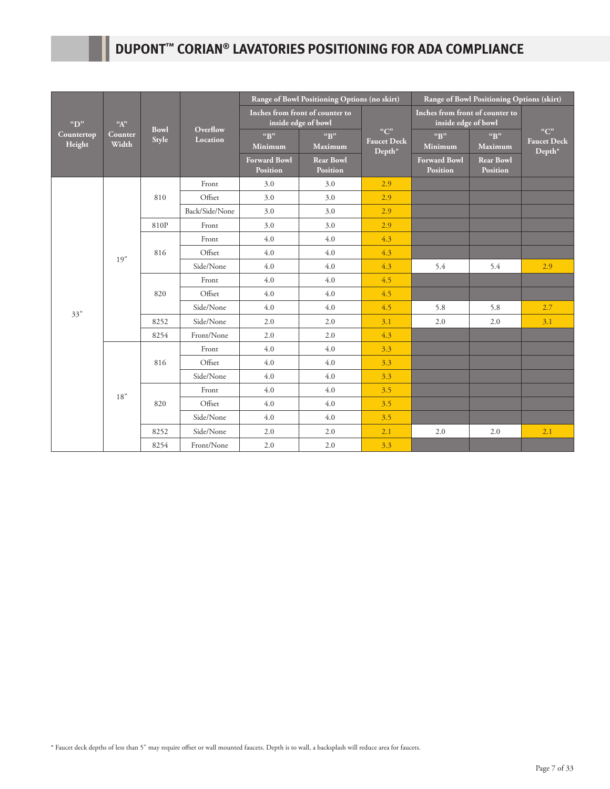|                      |                               |                      |                      | Range of Bowl Positioning Options (no skirt) |                                                        |                                               | Range of Bowl Positioning Options (skirt)              |                                     |                                                   |
|----------------------|-------------------------------|----------------------|----------------------|----------------------------------------------|--------------------------------------------------------|-----------------------------------------------|--------------------------------------------------------|-------------------------------------|---------------------------------------------------|
| " $D$ "              | ${}^{\alpha}A^{\prime\prime}$ |                      | Overflow<br>Location |                                              | Inches from front of counter to<br>inside edge of bowl |                                               | Inches from front of counter to<br>inside edge of bowl |                                     |                                                   |
| Countertop<br>Height | Counter<br>Width              | <b>Bowl</b><br>Style |                      | ${}^{\alpha}R$ "<br>Minimum                  | ${}^{\alpha}R$ "<br><b>Maximum</b>                     | C<br><b>Faucet Deck</b><br>Depth <sup>*</sup> | ${}^{\alpha}R$ "<br>Minimum                            | "B"<br><b>Maximum</b>               | $C$ "<br><b>Faucet Deck</b><br>Depth <sup>*</sup> |
|                      |                               |                      |                      | <b>Forward Bowl</b><br><b>Position</b>       | <b>Rear Bowl</b><br><b>Position</b>                    |                                               | <b>Forward Bowl</b><br><b>Position</b>                 | <b>Rear Bowl</b><br><b>Position</b> |                                                   |
|                      |                               |                      | Front                | 3.0                                          | 3.0                                                    | 2.9                                           |                                                        |                                     |                                                   |
|                      |                               | 810                  | Offset               | 3.0                                          | 3.0                                                    | 2.9                                           |                                                        |                                     |                                                   |
|                      |                               |                      | Back/Side/None       | 3.0                                          | 3.0                                                    | 2.9                                           |                                                        |                                     |                                                   |
|                      |                               | 810P                 | Front                | 3.0                                          | 3.0                                                    | 2.9                                           |                                                        |                                     |                                                   |
|                      | 19"                           |                      | Front                | 4.0                                          | 4.0                                                    | 4.3                                           |                                                        |                                     |                                                   |
|                      |                               | 816                  | Offset               | 4.0                                          | 4.0                                                    | 4.3                                           |                                                        |                                     |                                                   |
|                      |                               |                      | Side/None            | 4.0                                          | 4.0                                                    | 4.3                                           | 5.4                                                    | 5.4                                 | 2.9                                               |
|                      |                               |                      | Front                | 4.0                                          | 4.0                                                    | 4.5                                           |                                                        |                                     |                                                   |
|                      |                               | 820                  | Offset               | 4.0                                          | 4.0                                                    | 4.5                                           |                                                        |                                     |                                                   |
| 33"                  |                               |                      | Side/None            | 4.0                                          | 4.0                                                    | 4.5                                           | 5.8                                                    | 5.8                                 | 2.7                                               |
|                      |                               | 8252                 | Side/None            | 2.0                                          | 2.0                                                    | 3.1                                           | 2.0                                                    | 2.0                                 | 3.1                                               |
|                      |                               | 8254                 | Front/None           | 2.0                                          | 2.0                                                    | 4.3                                           |                                                        |                                     |                                                   |
|                      |                               |                      | Front                | 4.0                                          | 4.0                                                    | 3.3                                           |                                                        |                                     |                                                   |
|                      |                               | 816                  | Offset               | 4.0                                          | 4.0                                                    | 3.3                                           |                                                        |                                     |                                                   |
|                      |                               |                      | Side/None            | 4.0                                          | 4.0                                                    | 3.3                                           |                                                        |                                     |                                                   |
|                      | 18"                           |                      | Front                | 4.0                                          | 4.0                                                    | 3.5                                           |                                                        |                                     |                                                   |
|                      |                               | 820                  | Offset               | 4.0                                          | 4.0                                                    | 3.5                                           |                                                        |                                     |                                                   |
|                      |                               |                      | Side/None            | 4.0                                          | 4.0                                                    | 3.5                                           |                                                        |                                     |                                                   |
|                      |                               | 8252                 | Side/None            | 2.0                                          | 2.0                                                    | 2.1                                           | 2.0                                                    | 2.0                                 | 2.1                                               |
|                      |                               | 8254                 | Front/None           | 2.0                                          | 2.0                                                    | 3.3                                           |                                                        |                                     |                                                   |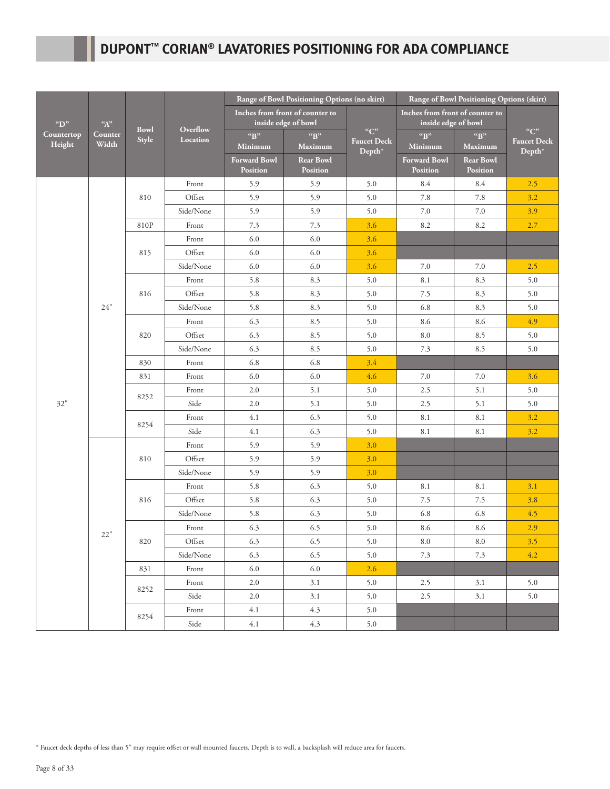|                      |                                  |                      |                      | Range of Bowl Positioning Options (no skirt) |                                                        |                                       | Range of Bowl Positioning Options (skirt)              |                              |                                       |
|----------------------|----------------------------------|----------------------|----------------------|----------------------------------------------|--------------------------------------------------------|---------------------------------------|--------------------------------------------------------|------------------------------|---------------------------------------|
| " $D$ "              | $\lq \mathbf{A}^{\prime \prime}$ | <b>Bowl</b><br>Style | Overflow<br>Location |                                              | Inches from front of counter to<br>inside edge of bowl |                                       | Inches from front of counter to<br>inside edge of bowl |                              |                                       |
| Countertop<br>Height | Counter<br>Width                 |                      |                      | ``B"<br>Minimum                              | "B"<br><b>Maximum</b>                                  | $C$ "<br><b>Faucet Deck</b><br>Depth* | ``B"<br>Minimum                                        | "B"<br>Maximum               | $C$ "<br><b>Faucet Deck</b><br>Depth* |
|                      |                                  |                      |                      | <b>Forward Bowl</b><br>Position              | <b>Rear Bowl</b><br>Position                           |                                       | <b>Forward Bowl</b><br>Position                        | <b>Rear Bowl</b><br>Position |                                       |
|                      |                                  |                      | Front                | 5.9                                          | 5.9                                                    | 5.0                                   | 8.4                                                    | 8.4                          | 2.5                                   |
|                      |                                  | 810                  | Offset               | 5.9                                          | 5.9                                                    | 5.0                                   | 7.8                                                    | 7.8                          | 3.2                                   |
|                      |                                  |                      | Side/None            | 5.9                                          | 5.9                                                    | 5.0                                   | 7.0                                                    | 7.0                          | 3.9                                   |
|                      |                                  | 810P                 | Front                | 7.3                                          | 7.3                                                    | 3.6                                   | 8.2                                                    | 8.2                          | 2.7                                   |
|                      |                                  |                      | Front                | 6.0                                          | 6.0                                                    | 3.6                                   |                                                        |                              |                                       |
|                      |                                  | 815                  | Offset               | $6.0\,$                                      | $6.0\,$                                                | 3.6                                   |                                                        |                              |                                       |
|                      |                                  |                      | Side/None            | 6.0                                          | 6.0                                                    | 3.6                                   | 7.0                                                    | 7.0                          | 2.5                                   |
|                      |                                  |                      | Front                | 5.8                                          | 8.3                                                    | 5.0                                   | 8.1                                                    | 8.3                          | 5.0                                   |
|                      |                                  | 816                  | Offset               | 5.8                                          | 8.3                                                    | 5.0                                   | $7.5\,$                                                | 8.3                          | 5.0                                   |
|                      | $24"$                            |                      | Side/None            | 5.8                                          | 8.3                                                    | 5.0                                   | 6.8                                                    | 8.3                          | 5.0                                   |
|                      |                                  |                      | Front                | 6.3                                          | 8.5                                                    | 5.0                                   | 8.6                                                    | 8.6                          | 4.9                                   |
|                      |                                  | 820                  | Offset               | 6.3                                          | 8.5                                                    | 5.0                                   | 8.0                                                    | 8.5                          | 5.0                                   |
|                      |                                  |                      | Side/None            | 6.3                                          | 8.5                                                    | 5.0                                   | 7.3                                                    | 8.5                          | 5.0                                   |
|                      |                                  | 830                  | Front                | 6.8                                          | 6.8                                                    | 3.4                                   |                                                        |                              |                                       |
|                      |                                  | 831                  | Front                | 6.0                                          | 6.0                                                    | 4.6                                   | 7.0                                                    | 7.0                          | 3.6                                   |
|                      |                                  | 8252                 | Front                | 2.0                                          | 5.1                                                    | 5.0                                   | 2.5                                                    | 5.1                          | 5.0                                   |
| 32"                  |                                  |                      | Side                 | 2.0                                          | 5.1                                                    | 5.0                                   | 2.5                                                    | 5.1                          | 5.0                                   |
|                      |                                  | 8254                 | Front                | 4.1                                          | 6.3                                                    | 5.0                                   | 8.1                                                    | 8.1                          | 3.2                                   |
|                      |                                  |                      | Side                 | 4.1                                          | 6.3                                                    | 5.0                                   | 8.1                                                    | 8.1                          | 3.2                                   |
|                      |                                  |                      | Front                | 5.9                                          | 5.9                                                    | 3.0                                   |                                                        |                              |                                       |
|                      |                                  | 810                  | Offset               | 5.9                                          | 5.9                                                    | 3.0                                   |                                                        |                              |                                       |
|                      |                                  |                      | Side/None            | 5.9                                          | 5.9                                                    | 3.0                                   |                                                        |                              |                                       |
|                      |                                  |                      | Front                | 5.8                                          | 6.3                                                    | 5.0                                   | 8.1                                                    | 8.1                          | 3.1                                   |
|                      |                                  | 816                  | Offset               | 5.8                                          | 6.3                                                    | 5.0                                   | $7.5\,$                                                | 7.5                          | 3.8                                   |
|                      |                                  |                      | Side/None            | 5.8                                          | 6.3                                                    | 5.0                                   | 6.8                                                    | 6.8                          | 4.5                                   |
|                      | 22"                              |                      | Front                | 6.3                                          | 6.5                                                    | 5.0                                   | 8.6                                                    | 8.6                          | 2.9                                   |
|                      |                                  | 820                  | Offset               | 6.3                                          | 6.5                                                    | 5.0                                   | 8.0                                                    | 8.0                          | 3.5                                   |
|                      |                                  |                      | Side/None            | 6.3                                          | 6.5                                                    | 5.0                                   | $7.3\,$                                                | 7.3                          | 4.2                                   |
|                      |                                  | 831                  | Front                | $6.0\,$                                      | $6.0\,$                                                | 2.6                                   |                                                        |                              |                                       |
|                      |                                  |                      | Front                | $2.0\,$                                      | 3.1                                                    | 5.0                                   | 2.5                                                    | 3.1                          | 5.0                                   |
|                      |                                  | 8252                 | Side                 | 2.0                                          | 3.1                                                    | 5.0                                   | 2.5                                                    | 3.1                          | 5.0                                   |
|                      |                                  |                      | Front                | 4.1                                          | 4.3                                                    | 5.0                                   |                                                        |                              |                                       |
|                      |                                  | 8254                 | Side                 | 4.1                                          | 4.3                                                    | 5.0                                   |                                                        |                              |                                       |

\* Faucet deck depths of less than 5" may require offset or wall mounted faucets. Depth is to wall, a backsplash will reduce area for faucets.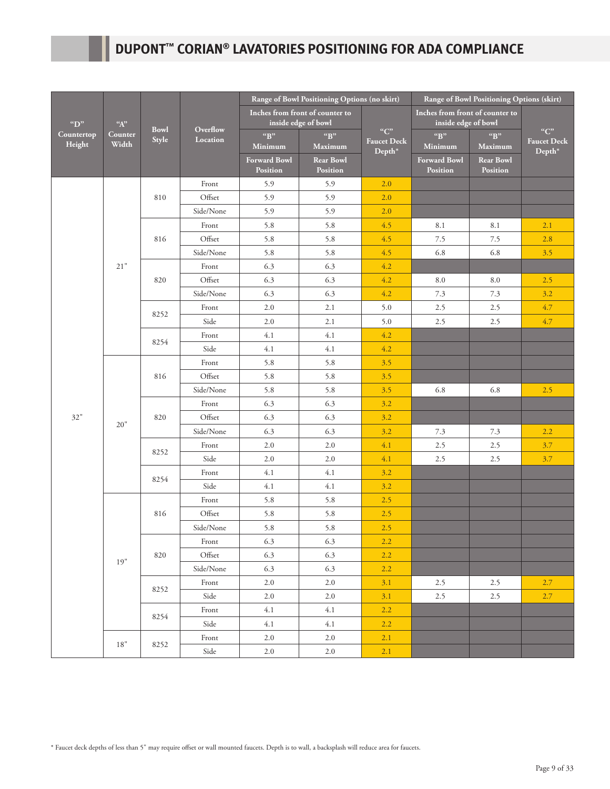|                      |                  |                      |                      | Range of Bowl Positioning Options (no skirt) |                                                        |                                       | Range of Bowl Positioning Options (skirt)              |                              |                                          |
|----------------------|------------------|----------------------|----------------------|----------------------------------------------|--------------------------------------------------------|---------------------------------------|--------------------------------------------------------|------------------------------|------------------------------------------|
| "D"                  | "A"              | <b>Bowl</b><br>Style |                      |                                              | Inches from front of counter to<br>inside edge of bowl |                                       | Inches from front of counter to<br>inside edge of bowl |                              |                                          |
| Countertop<br>Height | Counter<br>Width |                      | Overflow<br>Location | ${}^{\alpha}B"$<br>Minimum                   | "B"<br><b>Maximum</b>                                  | $C$ "<br><b>Faucet Deck</b><br>Depth* | ${}^{\alpha}B"$<br>Minimum                             | "B"<br>Maximum               | $C$ "<br><b>Faucet Deck</b><br>$Depth^*$ |
|                      |                  |                      |                      | <b>Forward Bowl</b><br>Position              | <b>Rear Bowl</b><br><b>Position</b>                    |                                       | <b>Forward Bowl</b><br>Position                        | <b>Rear Bowl</b><br>Position |                                          |
|                      |                  |                      | Front                | 5.9                                          | 5.9                                                    | 2.0                                   |                                                        |                              |                                          |
|                      |                  | 810                  | Offset               | 5.9                                          | 5.9                                                    | 2.0                                   |                                                        |                              |                                          |
|                      |                  |                      | Side/None            | 5.9                                          | 5.9                                                    | 2.0                                   |                                                        |                              |                                          |
|                      |                  |                      | Front                | 5.8                                          | 5.8                                                    | 4.5                                   | 8.1                                                    | 8.1                          | 2.1                                      |
|                      |                  | 816                  | Offset               | 5.8                                          | 5.8                                                    | 4.5                                   | 7.5                                                    | 7.5                          | 2.8                                      |
|                      |                  |                      | Side/None            | 5.8                                          | 5.8                                                    | 4.5                                   | 6.8                                                    | 6.8                          | 3.5                                      |
|                      | 21"              |                      | Front                | 6.3                                          | 6.3                                                    | 4.2                                   |                                                        |                              |                                          |
|                      |                  | 820                  | Offset               | 6.3                                          | 6.3                                                    | 4.2                                   | 8.0                                                    | 8.0                          | 2.5                                      |
|                      |                  |                      | Side/None            | 6.3                                          | 6.3                                                    | 4.2                                   | $7.3\,$                                                | $7.3\,$                      | 3.2                                      |
|                      |                  | 8252                 | Front                | 2.0                                          | 2.1                                                    | 5.0                                   | 2.5                                                    | 2.5                          | 4.7                                      |
|                      |                  |                      | Side                 | 2.0                                          | 2.1                                                    | 5.0                                   | 2.5                                                    | 2.5                          | 4.7                                      |
|                      |                  | 8254                 | Front                | 4.1                                          | 4.1                                                    | 4.2                                   |                                                        |                              |                                          |
|                      |                  |                      | Side                 | 4.1                                          | 4.1                                                    | 4.2                                   |                                                        |                              |                                          |
|                      |                  | 816                  | Front                | 5.8                                          | 5.8                                                    | 3.5                                   |                                                        |                              |                                          |
|                      |                  |                      | Offset               | 5.8                                          | 5.8                                                    | 3.5                                   |                                                        |                              |                                          |
|                      |                  |                      | Side/None            | 5.8                                          | 5.8                                                    | 3.5                                   | 6.8                                                    | 6.8                          | 2.5                                      |
|                      |                  | 820                  | Front                | 6.3                                          | 6.3                                                    | 3.2                                   |                                                        |                              |                                          |
| 32"                  | 20"              |                      | Offset               | 6.3                                          | 6.3                                                    | 3.2                                   |                                                        |                              |                                          |
|                      |                  |                      | Side/None            | 6.3                                          | 6.3                                                    | 3.2                                   | 7.3                                                    | 7.3                          | 2.2                                      |
|                      |                  |                      | Front                | 2.0                                          | 2.0                                                    | 4.1                                   | 2.5                                                    | 2.5                          | 3.7                                      |
|                      |                  | 8252                 | Side                 | 2.0                                          | 2.0                                                    | 4.1                                   | 2.5                                                    | 2.5                          | 3.7                                      |
|                      |                  |                      | Front                | 4.1                                          | 4.1                                                    | 3.2                                   |                                                        |                              |                                          |
|                      |                  | 8254                 | Side                 | 4.1                                          | 4.1                                                    | 3.2                                   |                                                        |                              |                                          |
|                      |                  |                      | Front                | 5.8                                          | 5.8                                                    | 2.5                                   |                                                        |                              |                                          |
|                      |                  | 816                  | Offset               | 5.8                                          | 5.8                                                    | 2.5                                   |                                                        |                              |                                          |
|                      |                  |                      | Side/None            | 5.8                                          | 5.8                                                    | 2.5                                   |                                                        |                              |                                          |
|                      |                  |                      | Front                | 6.3                                          | 6.3                                                    | 2.2                                   |                                                        |                              |                                          |
| 19"                  |                  | 820                  | Offset               | 6.3                                          | 6.3                                                    | $2.2\,$                               |                                                        |                              |                                          |
|                      |                  |                      | Side/None            | 6.3                                          | 6.3                                                    | 2.2                                   |                                                        |                              |                                          |
|                      |                  |                      | Front                | $2.0\,$                                      | $2.0\,$                                                | 3.1                                   | 2.5                                                    | 2.5                          | 2.7                                      |
|                      |                  | 8252                 | Side                 | $2.0\,$                                      | $2.0\,$                                                | 3.1                                   | 2.5                                                    | 2.5                          | 2.7                                      |
|                      |                  |                      | Front                | 4.1                                          | 4.1                                                    | 2.2                                   |                                                        |                              |                                          |
|                      |                  | 8254                 | Side                 | 4.1                                          | 4.1                                                    | 2.2                                   |                                                        |                              |                                          |
|                      |                  |                      | Front                | 2.0                                          | $2.0\,$                                                | 2.1                                   |                                                        |                              |                                          |
|                      | $18"$            | 8252                 | Side                 | 2.0                                          | $2.0\,$                                                | 2.1                                   |                                                        |                              |                                          |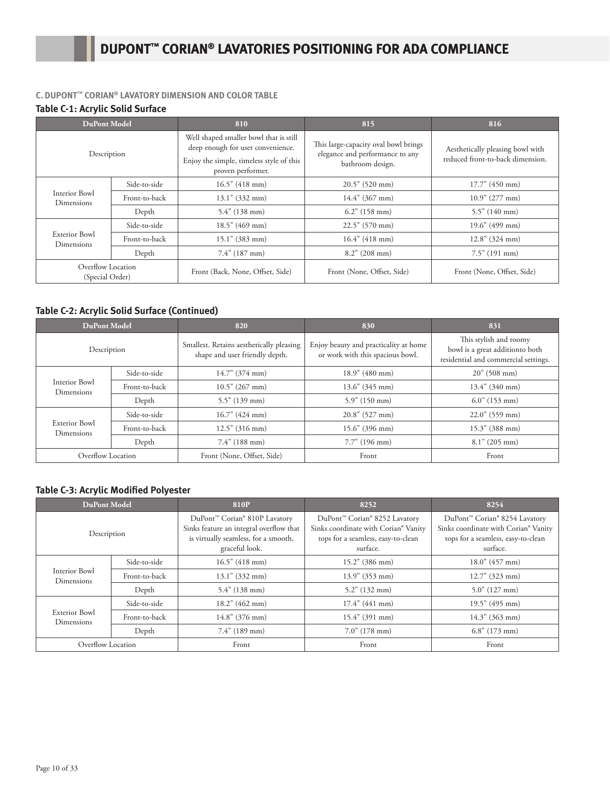#### **C. DUPONT™ CORIAN® LAVATORY DIMENSION AND COLOR TABLE**

#### **Table C-1: Acrylic Solid Surface**

| <b>DuPont Model</b>                  |               | 810                                                                                                                                          | 815                                                                                         | 816                                                                  |
|--------------------------------------|---------------|----------------------------------------------------------------------------------------------------------------------------------------------|---------------------------------------------------------------------------------------------|----------------------------------------------------------------------|
| Description                          |               | Well shaped smaller bowl that is still<br>deep enough for user convenience.<br>Enjoy the simple, timeless style of this<br>proven performer. | This large-capacity oval bowl brings<br>elegance and performance to any<br>bathroom design. | Aesthetically pleasing bowl with<br>reduced front-to-back dimension. |
|                                      | Side-to-side  | 16.5" (418 mm)                                                                                                                               | $20.5"$ (520 mm)                                                                            | $17.7$ " (450 mm)                                                    |
| Interior Bowl<br>Dimensions          | Front-to-back | $13.1$ " (332 mm)                                                                                                                            | $14.4"$ (367 mm)                                                                            | $10.9''$ (277 mm)                                                    |
|                                      | Depth         | $5.4"$ (138 mm)                                                                                                                              | $6.2$ " (158 mm)                                                                            | $5.5$ " (140 mm)                                                     |
|                                      | Side-to-side  | 18.5" (469 mm)                                                                                                                               | $22.5''$ (570 mm)                                                                           | $19.6$ " (499 mm)                                                    |
| <b>Exterior Bowl</b><br>Dimensions   | Front-to-back | 15.1" (383 mm)                                                                                                                               | 16.4" (418 mm)                                                                              | $12.8"$ (324 mm)                                                     |
|                                      | Depth         | $7.4"$ (187 mm)                                                                                                                              | $8.2$ " (208 mm)                                                                            | $7.5$ " (191 mm)                                                     |
| Overflow Location<br>(Special Order) |               | Front (Back, None, Offset, Side)                                                                                                             | Front (None, Offset, Side)                                                                  | Front (None, Offset, Side)                                           |

#### **Table C-2: Acrylic Solid Surface (Continued)**

| <b>DuPont Model</b>                |               | 820                                                                        | 830                                                                       | 831                                                                                               |
|------------------------------------|---------------|----------------------------------------------------------------------------|---------------------------------------------------------------------------|---------------------------------------------------------------------------------------------------|
| Description                        |               | Smallest. Retains aesthetically pleasing<br>shape and user friendly depth. | Enjoy beauty and practicality at home<br>or work with this spacious bowl. | This stylish and roomy<br>bowl is a great additionto both<br>residential and commercial settings. |
|                                    | Side-to-side  | $14.7$ " (374 mm)<br>$18.9''$ (480 mm)                                     |                                                                           | $20''$ (508 mm)                                                                                   |
| Interior Bowl<br><b>Dimensions</b> | Front-to-back | $10.5$ " (267 mm)                                                          | $13.6"$ (345 mm)                                                          | $13.4"$ (340 mm)                                                                                  |
|                                    | Depth         | 5.5" (139 mm)                                                              | 5.9" (150 mm)                                                             | $6.0$ " (153 mm)                                                                                  |
|                                    | Side-to-side  | $16.7$ " (424 mm)                                                          | 20.8" (527 mm)                                                            | $22.0$ " (559 mm)                                                                                 |
| <b>Exterior Bowl</b><br>Dimensions | Front-to-back | $12.5"$ (316 mm)                                                           | $15.6"$ (396 mm)                                                          | $15.3$ " (388 mm)                                                                                 |
|                                    | Depth         | $7.4"$ (188 mm)                                                            | $7.7$ " (196 mm)                                                          | 8.1" (205 mm)                                                                                     |
| Overflow Location                  |               | Front (None, Offset, Side)                                                 | Front                                                                     | Front                                                                                             |

#### **Table C-3: Acrylic Modified Polyester**

| <b>DuPont Model</b>         |               | <b>810P</b><br>8252                                                                                                                |                                                                                                                         | 8254                                                                                                                    |
|-----------------------------|---------------|------------------------------------------------------------------------------------------------------------------------------------|-------------------------------------------------------------------------------------------------------------------------|-------------------------------------------------------------------------------------------------------------------------|
| Description                 |               | DuPont™ Corian® 810P Lavatory<br>Sinks feature an integral overflow that<br>is virtually seamless, for a smooth,<br>graceful look. | DuPont™ Corian® 8252 Lavatory<br>Sinks coordinate with Corian® Vanity<br>tops for a seamless, easy-to-clean<br>surface. | DuPont™ Corian® 8254 Lavatory<br>Sinks coordinate with Corian® Vanity<br>tops for a seamless, easy-to-clean<br>surface. |
|                             | Side-to-side  | 16.5" (418 mm)                                                                                                                     | $15.2"$ (386 mm)                                                                                                        | $18.0$ " (457 mm)                                                                                                       |
| Interior Bowl<br>Dimensions | Front-to-back | $13.1$ " (332 mm)                                                                                                                  | $13.9''$ (353 mm)                                                                                                       | $12.7$ " (323 mm)                                                                                                       |
|                             | Depth         | $5.4"$ (138 mm)                                                                                                                    | $5.2$ " (132 mm)                                                                                                        | $5.0$ " (127 mm)                                                                                                        |
|                             | Side-to-side  | 18.2" (462 mm)                                                                                                                     | $17.4$ " (441 mm)                                                                                                       | $19.5$ " (495 mm)                                                                                                       |
| Exterior Bowl<br>Dimensions | Front-to-back | $14.8"$ (376 mm)                                                                                                                   | $15.4"$ (391 mm)                                                                                                        | $14.3$ " (363 mm)                                                                                                       |
| Depth                       |               | $7.4"$ (189 mm)                                                                                                                    | $7.0$ " (178 mm)                                                                                                        | $6.8"$ (173 mm)                                                                                                         |
| Overflow Location           |               | Front                                                                                                                              | Front                                                                                                                   | Front                                                                                                                   |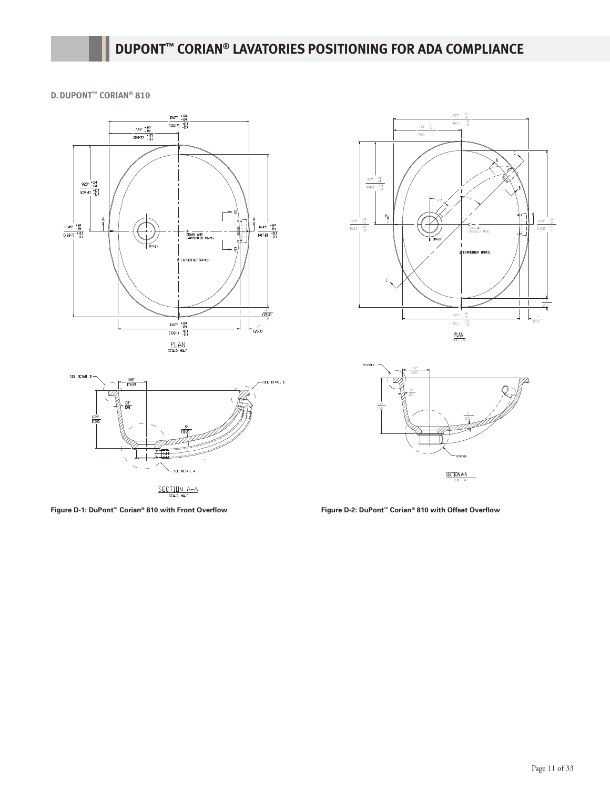**D. DUPONT™ CORIAN® 810**









**Figure D-1: DuPont™ Corian® 810 with Front Overflow Figure D-2: DuPont™ Corian® 810 with Offset Overflow**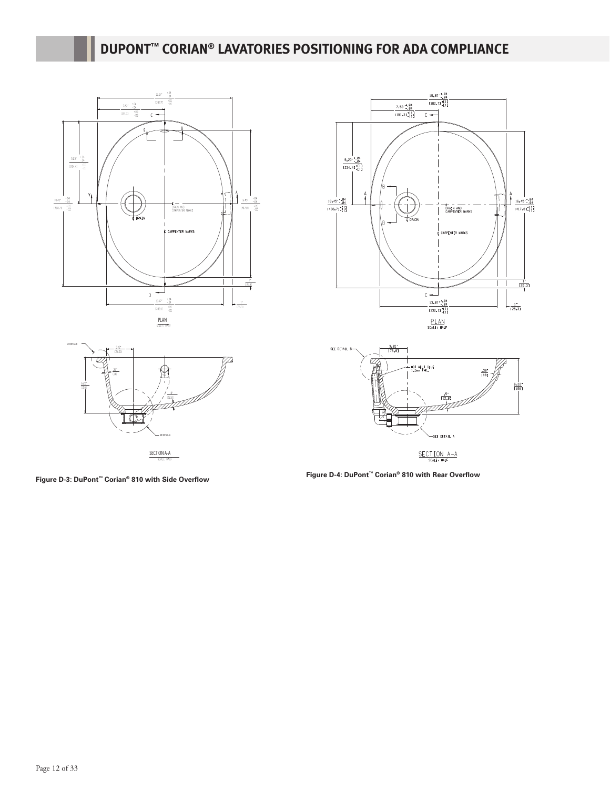









**Figure D-3: DuPont™ Corian® 810 with Side Overflow Figure D-4: DuPont™ Corian® 810 with Rear Overflow**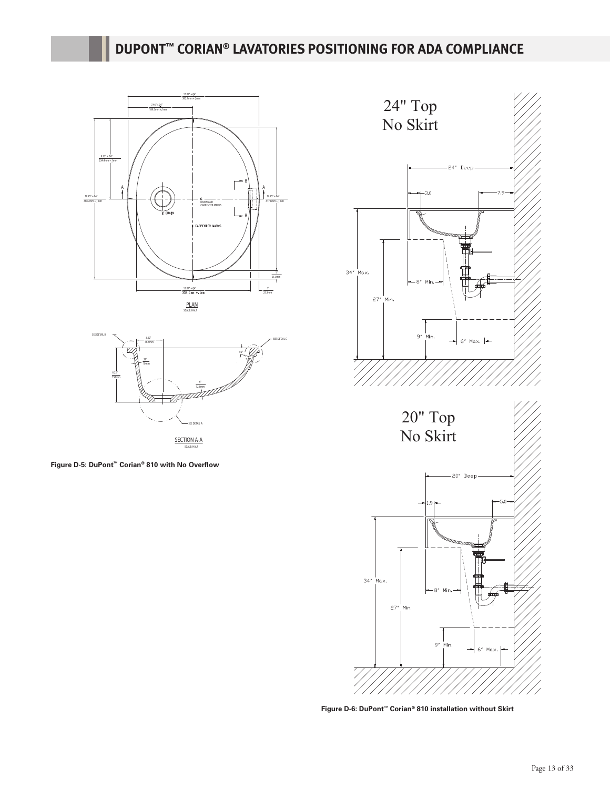



**Figure D-5: DuPont™ Corian® 810 with No Overflow**



**Figure D-6: DuPont™ Corian® 810 installation without Skirt**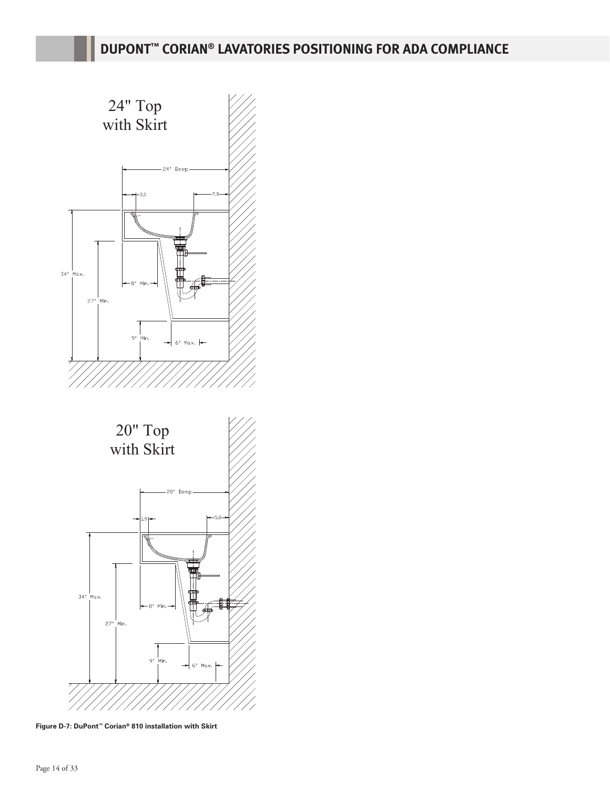

**Figure D-7: DuPont™ Corian® 810 installation with Skirt**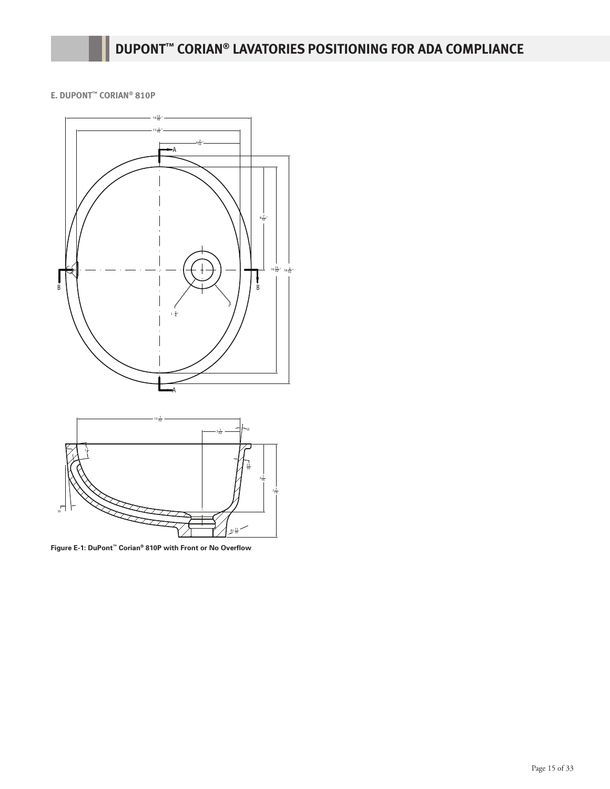**E. DUPONT™ CORIAN® 810P**



**Figure E-1: DuPont™ Corian® 810P with Front or No Overflow**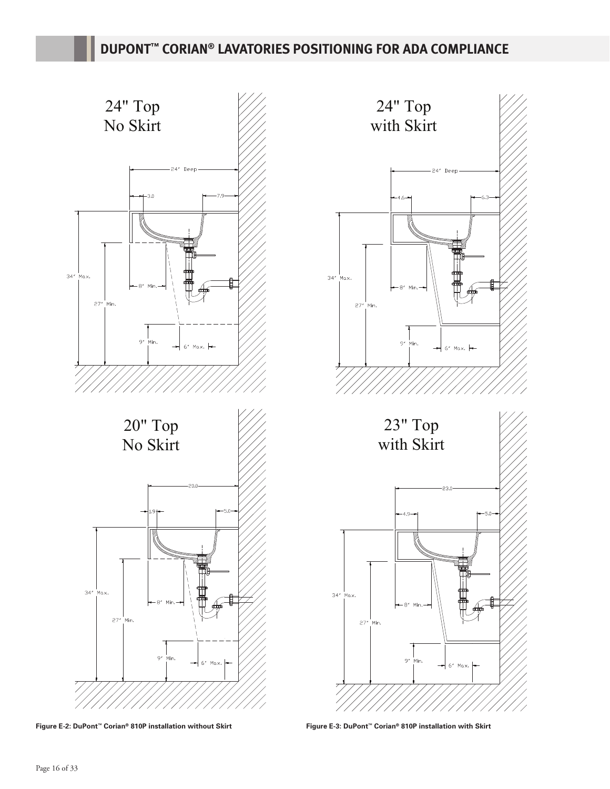

**Figure E-2: DuPont™ Corian® 810P installation without Skirt Figure E-3: DuPont™ Corian® 810P installation with Skirt**

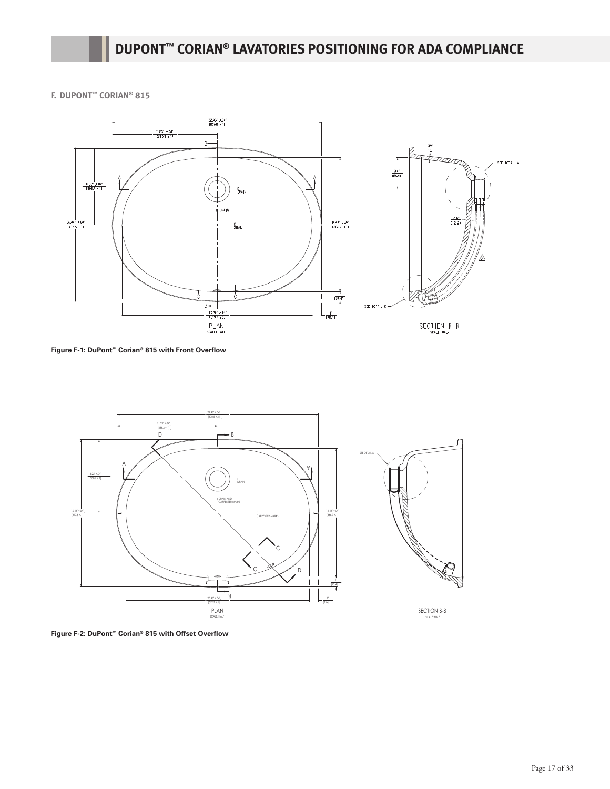**F. DUPONT™ CORIAN® 815**



**Figure F-1: DuPont™ Corian® 815 with Front Overflow**



**Figure F-2: DuPont™ Corian® 815 with Offset Overflow**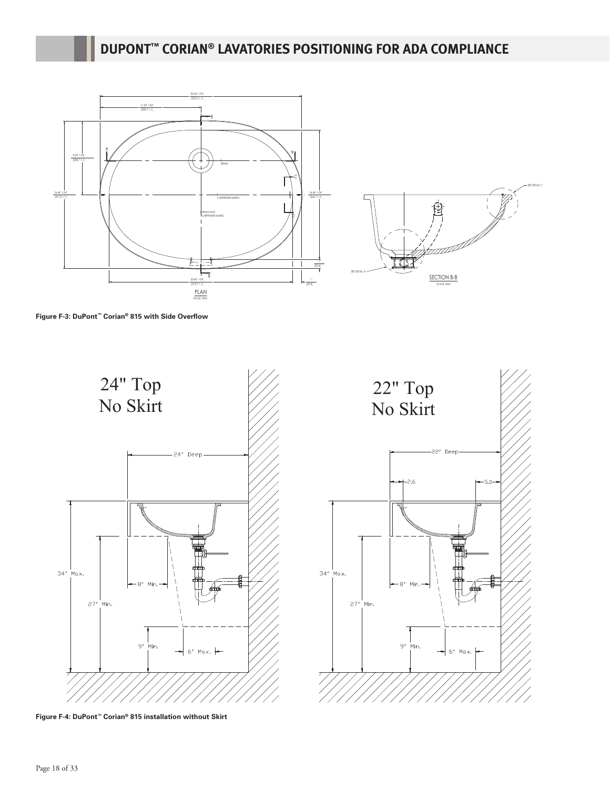



**Figure F-3: DuPont™ Corian® 815 with Side Overflow**



**Figure F-4: DuPont™ Corian® 815 installation without Skirt**

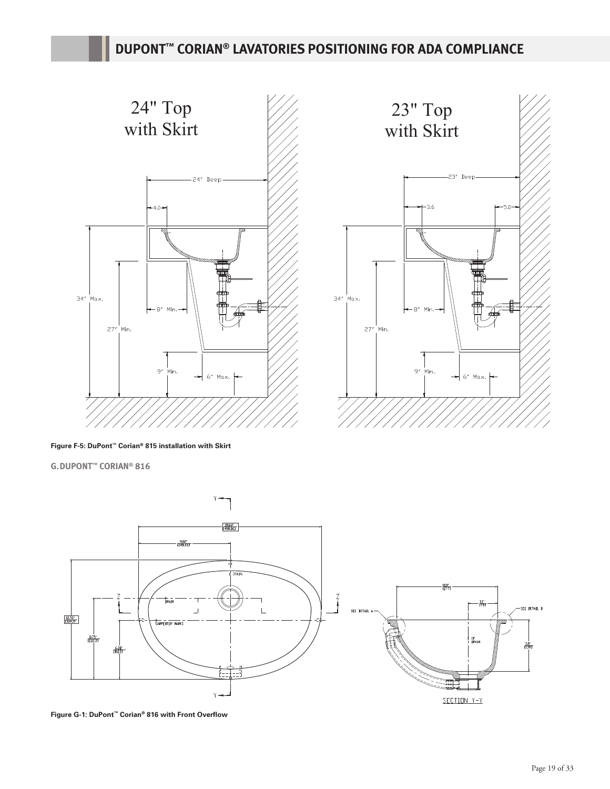

**Figure F-5: DuPont™ Corian® 815 installation with Skirt**

**G. DUPONT™ CORIAN® 816**



**Figure G-1: DuPont™ Corian® 816 with Front Overflow**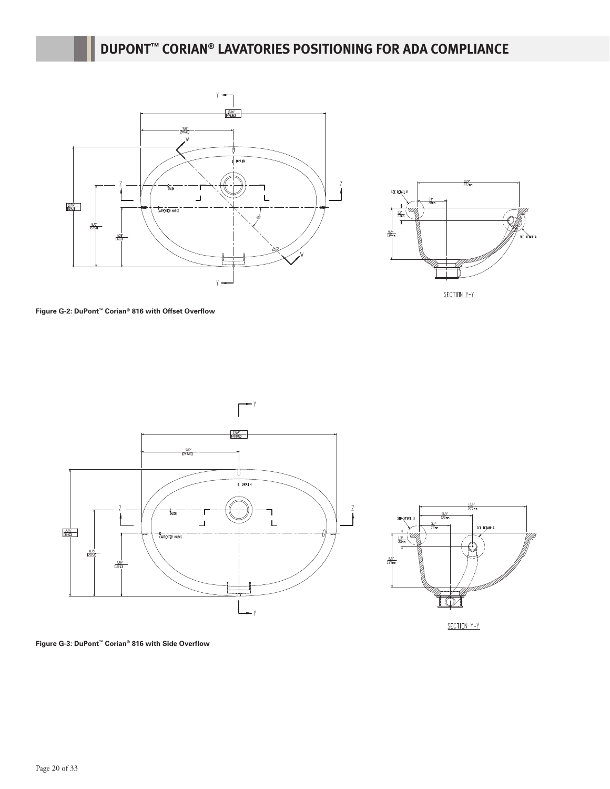



SECTION Y-Y

**Figure G-2: DuPont™ Corian® 816 with Offset Overflow**



SECTION Y-Y

**Figure G-3: DuPont™ Corian® 816 with Side Overflow**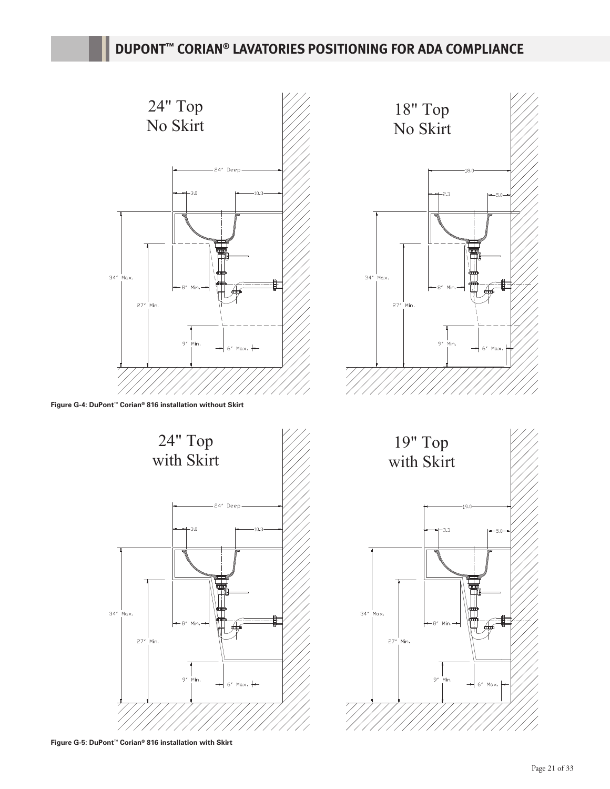

**Figure G-5: DuPont™ Corian® 816 installation with Skirt**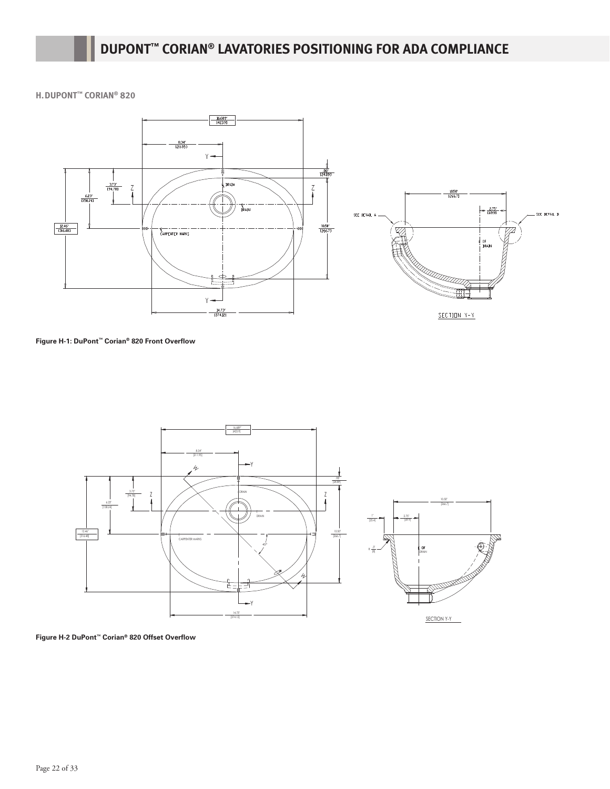**H. DUPONT™ CORIAN® 820**



**Figure H-1: DuPont™ Corian® 820 Front Overflow**



**Figure H-2 DuPont™ Corian® 820 Offset Overflow**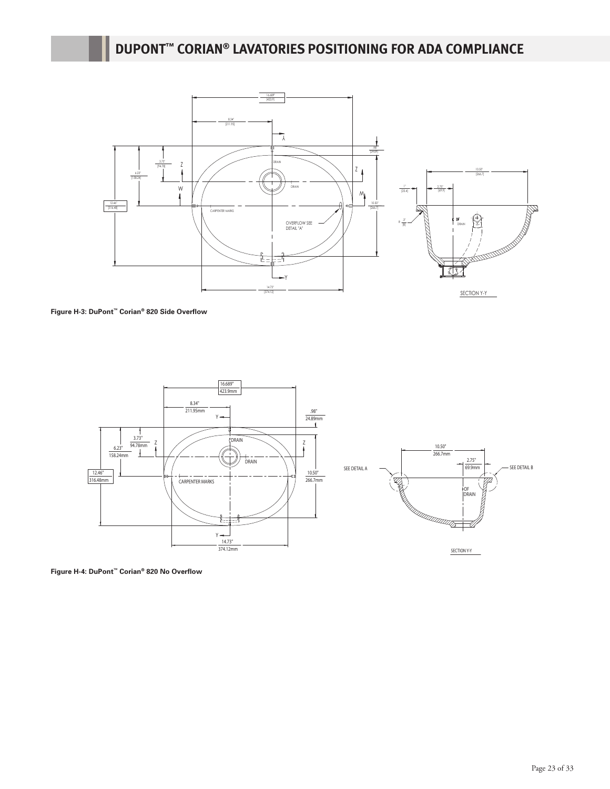

**Figure H-3: DuPont™ Corian® 820 Side Overflow**



**Figure H-4: DuPont™ Corian® 820 No Overflow**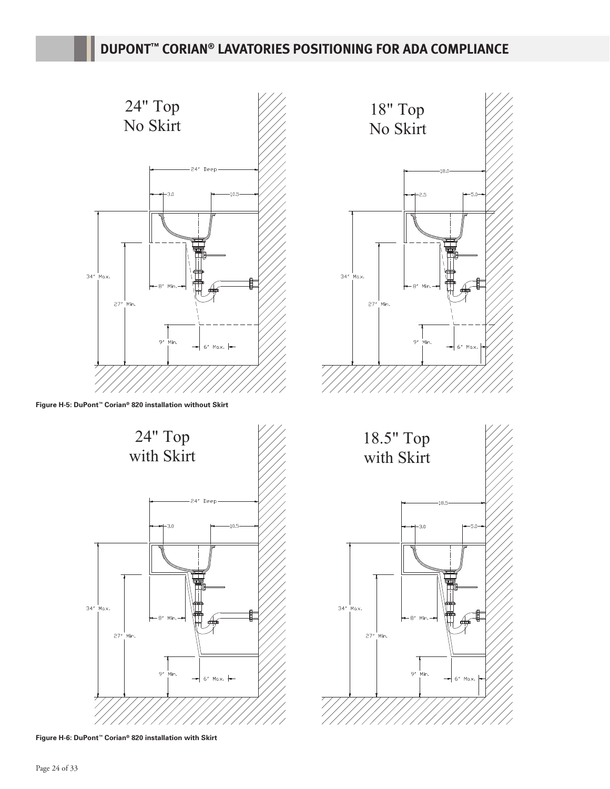

**Figure H-5: DuPont™ Corian® 820 installation without Skirt**



**Figure H-6: DuPont™ Corian® 820 installation with Skirt**



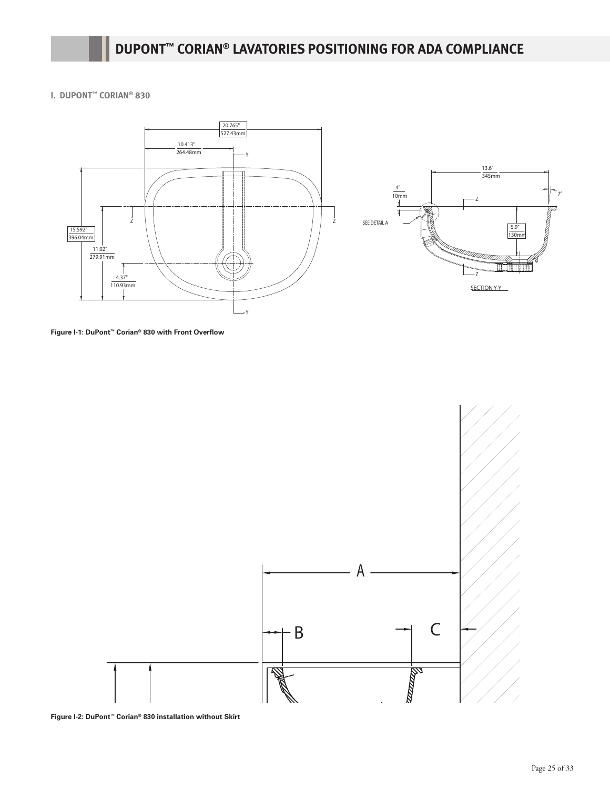**I. DUPONT™ CORIAN® 830**



**Figure I-1: DuPont™ Corian® 830 with Front Overflow**



**Figure I-2: DuPont™ Corian® 830 installation without Skirt**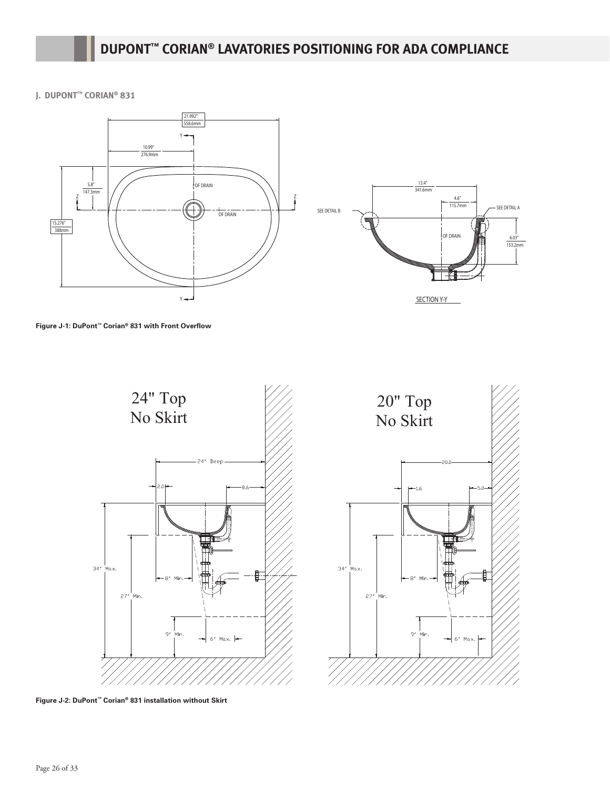**J. DUPONT™ CORIAN® 831**



**Figure J-1: DuPont™ Corian® 831 with Front Overflow**



**Figure J-2: DuPont™ Corian® 831 installation without Skirt**

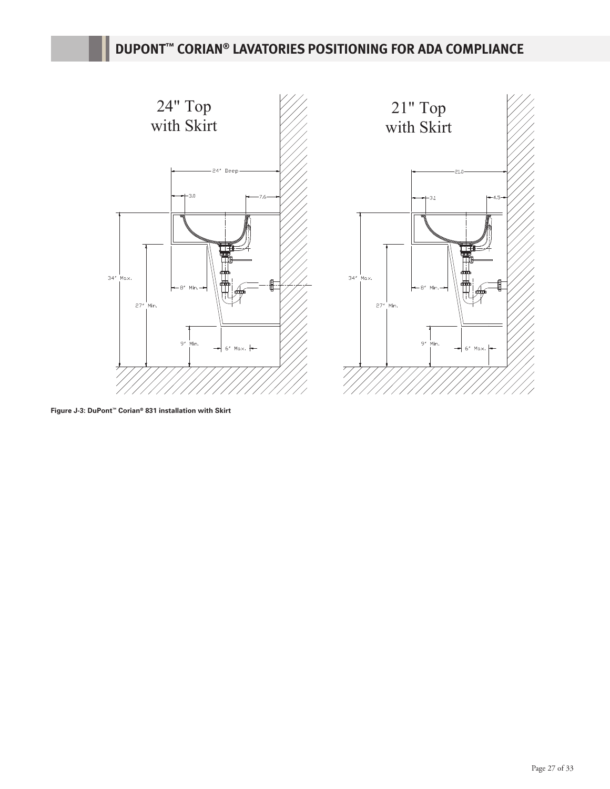

**Figure J-3: DuPont™ Corian® 831 installation with Skirt**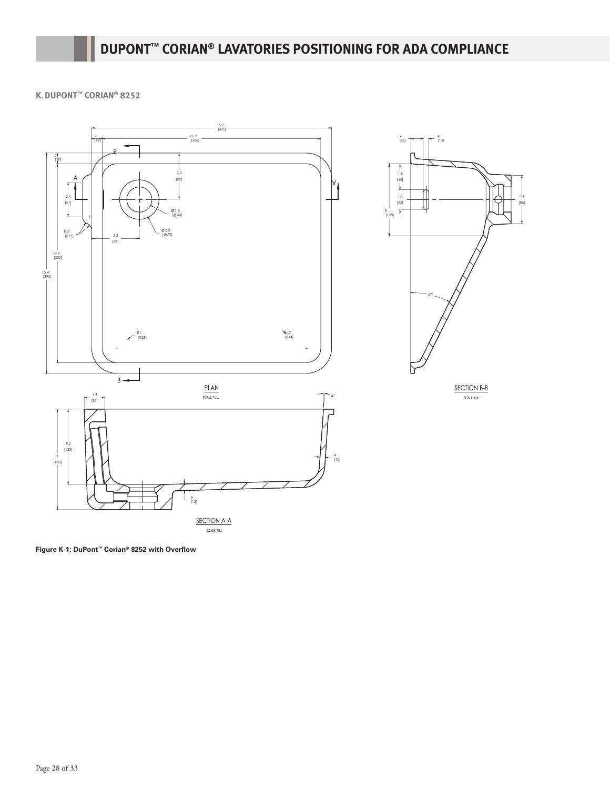**K. DUPONT™ CORIAN® 8252**



**Figure K-1: DuPont™ Corian® 8252 with Overflow**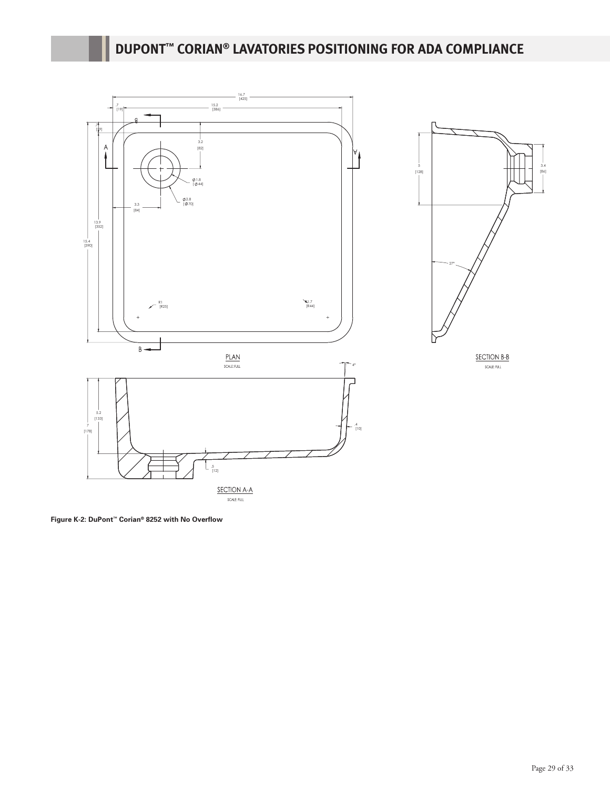

**Figure K-2: DuPont™ Corian® 8252 with No Overflow**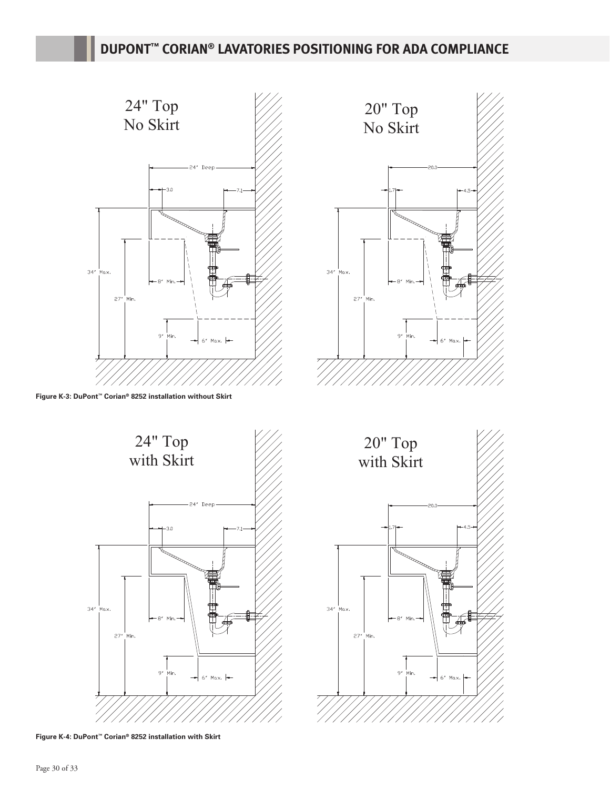

**Figure K-3: DuPont™ Corian® 8252 installation without Skirt**



**Figure K-4: DuPont™ Corian® 8252 installation with Skirt**



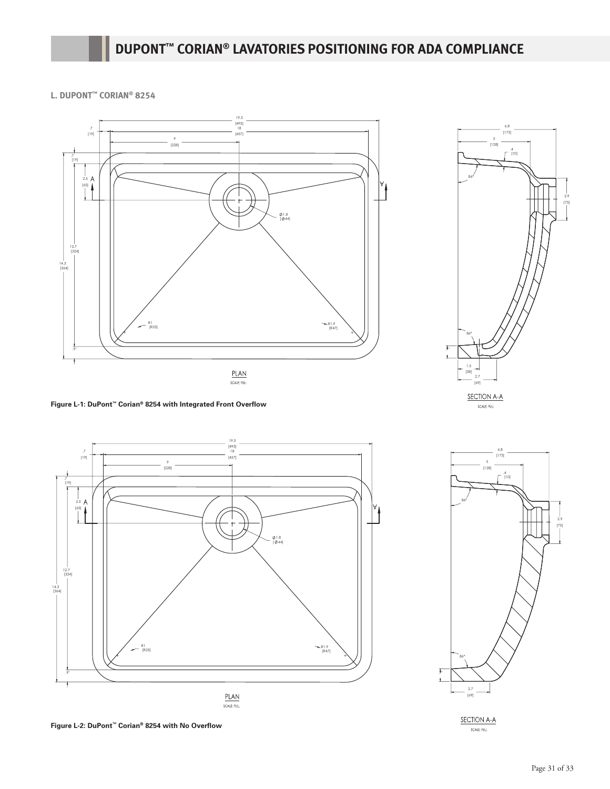**L. DUPONT™ CORIAN® 8254**





[128]

86°

6.8 [173]

.4 [10]

**Figure L-1: DuPont™ Corian® 8254 with Integrated Front Overflow**

19.5 18 [495] .7 [19] [457] 9 [228] .7 [19] À 2.5 [65] ł Ø1.8<br>[Ø44] 12.7 [324] 14.3 [364] R1 [R25] R1.9 [R47] .9" PLAN SCALE: FULL

**Figure L-2: DuPont™ Corian® 8254 with No Overflow**



**SECTION A-A** SCALE: FULL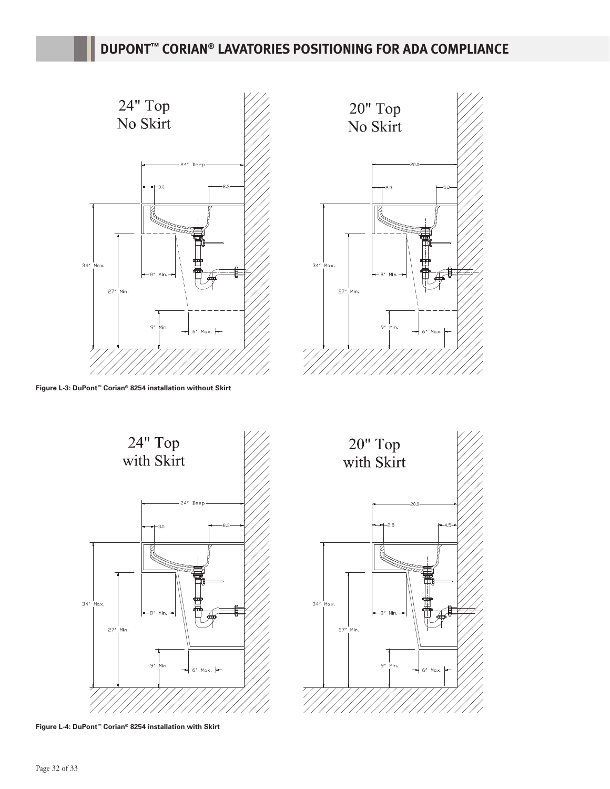



**Figure L-3: DuPont™ Corian® 8254 installation without Skirt**



**Figure L-4: DuPont™ Corian® 8254 installation with Skirt**

![](_page_31_Figure_6.jpeg)